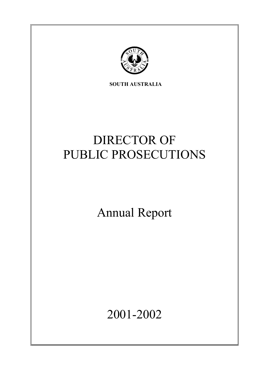

**SOUTH AUSTRALIA** 

# DIRECTOR OF PUBLIC PROSECUTIONS

Annual Report

2001-2002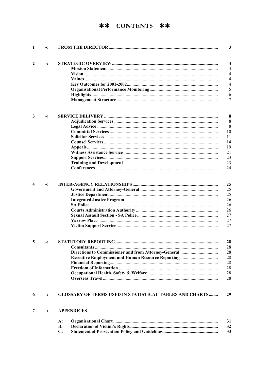# \*\* CONTENTS \*\*

| 1 | ≺ |                                                                |
|---|---|----------------------------------------------------------------|
| 2 | ≺ |                                                                |
|   |   |                                                                |
|   |   |                                                                |
|   |   |                                                                |
|   |   |                                                                |
|   |   |                                                                |
|   |   |                                                                |
|   |   |                                                                |
|   |   |                                                                |
| 3 | ≺ |                                                                |
|   |   |                                                                |
|   |   |                                                                |
|   |   |                                                                |
|   |   |                                                                |
|   |   |                                                                |
|   |   |                                                                |
|   |   |                                                                |
|   |   |                                                                |
|   |   |                                                                |
|   |   |                                                                |
| 4 | ≺ |                                                                |
| 5 | ≺ |                                                                |
|   |   |                                                                |
|   |   |                                                                |
|   |   | <b>Executive Employment and Human Resource Reporting </b>      |
|   |   |                                                                |
|   |   |                                                                |
|   |   |                                                                |
|   |   |                                                                |
| 6 | ≺ | <b>GLOSSARY OF TERMS USED IN STATISTICAL TABLES AND CHARTS</b> |
| 7 | ≺ | <b>APPENDICES</b>                                              |
|   |   | <b>A:</b>                                                      |
|   |   | $\bf{B}$ :                                                     |
|   |   | $\mathbf{C}$ :                                                 |
|   |   |                                                                |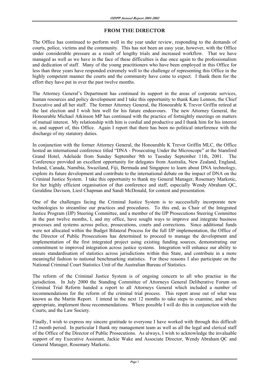# **FROM THE DIRECTOR**

The Office has continued to perform well in the year under review, responding to the demands of courts, police, victims and the community. This has not been an easy year, however, with the Office under considerable pressure as a result of lengthy trials and increased workflow. That we have managed as well as we have in the face of these difficulties is due once again to the professionalism and dedication of staff. Many of the young practitioners who have been employed in this Office for less than three years have responded extremely well to the challenge of representing this Office in the highly competent manner the courts and the community have come to expect. I thank them for the effort they have put in over the past twelve months.

The Attorney General's Department has continued its support in the areas of corporate services, human resources and policy development and I take this opportunity to thank Kate Lennon, the Chief Executive and all her staff. The former Attorney General, the Honourable K Trevor Griffin retired at the last election and I wish him well for his future endeavours. The new Attorney General, the Honourable Michael Atkinson MP has continued with the practice of fortnightly meetings on matters of mutual interest. My relationship with him is cordial and productive and I thank him for his interest in, and support of, this Office. Again I report that there has been no political interference with the discharge of my statutory duties.

In conjunction with the former Attorney General, the Honourable K Trevor Griffin MLC, the Office hosted an international conference titled "DNA - Prosecuting Under the Microscope" at the Stamford Grand Hotel, Adelaide from Sunday September 9th to Tuesday September 11th, 2001. The Conference provided an excellent opportunity for delegates from Australia, New Zealand, England, Ireland, Canada, Namibia, Swaziland, Fiji, Bermuda and Singapore to learn about DNA technology, explore its future development and contribute to the international debate on the impact of DNA on the Criminal Justice System. I take this opportunity to thank my General Manager, Rosemary Markotic, for her highly efficient organisation of that conference and staff, especially Wendy Abraham QC, Geraldine Davison, Liesl Chapman and Sandi McDonald, for content and presentation.

One of the challenges facing the Criminal Justice System is to successfully incorporate new technologies to streamline our practices and procedures. To this end, as Chair of the Integrated Justice Program (IJP) Steering Committee, and a member of the IJP Prosecutions Steering Committee in the past twelve months, I, and my office, have sought ways to improve and integrate business processes and systems across police, prosecutions, courts and corrections. Since additional funds were not allocated within the Budget Bilateral Process for the full IJP implementation, the Office of the Director of Public Prosecutions has determined to proceed to manage the development and implementation of the first integrated project using existing funding sources, demonstrating our commitment to improved integration across justice systems. Integration will enhance our ability to ensure standardisation of statistics across jurisdictions within this State, and contribute in a more meaningful fashion to national benchmarking statistics. For these reasons I also participate on the National Criminal Court Statistics Unit of the Australian Bureau of Statistics.

The reform of the Criminal Justice System is of ongoing concern to all who practise in the jurisdiction. In July 2000 the Standing Committee of Attorneys General Deliberative Forum on Criminal Trial Reform handed a report to all Attorneys General which included a number of recommendations for the reform of the criminal trial process. This report arose out of what was known as the Martin Report. I intend in the next 12 months to take steps to examine, and where appropriate, implement those recommendations. Where possible I will do this in conjunction with the Courts, and the Law Society.

Finally, I wish to express my sincere gratitude to everyone I have worked with through this difficult 12 month period. In particular I thank my management team as well as all the legal and clerical staff of the Office of the Director of Public Prosecutions. As always, I wish to acknowledge the invaluable support of my Executive Assistant, Jackie Wake and Associate Director, Wendy Abraham QC and General Manager, Rosemary Markotic.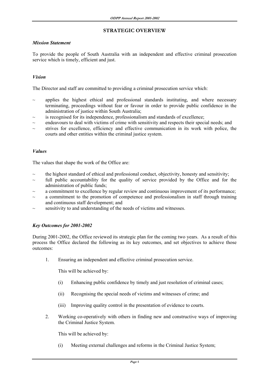# **STRATEGIC OVERVIEW**

# *Mission Statement*

To provide the people of South Australia with an independent and effective criminal prosecution service which is timely, efficient and just.

# *Vision*

The Director and staff are committed to providing a criminal prosecution service which:

- applies the highest ethical and professional standards instituting, and where necessary terminating, proceedings without fear or favour in order to provide public confidence in the administration of justice within South Australia;
- is recognised for its independence, professionalism and standards of excellence;
- $\sim$  endeavours to deal with victims of crime with sensitivity and respects their special needs; and
- strives for excellence, efficiency and effective communication in its work with police, the courts and other entities within the criminal justice system.

# *Values*

The values that shape the work of the Office are:

- the highest standard of ethical and professional conduct, objectivity, honesty and sensitivity;
- full public accountability for the quality of service provided by the Office and for the administration of public funds;
- a commitment to excellence by regular review and continuous improvement of its performance;
- a commitment to the promotion of competence and professionalism in staff through training and continuous staff development; and
- sensitivity to and understanding of the needs of victims and witnesses.

# *Key Outcomes for 2001-2002*

During 2001-2002, the Office reviewed its strategic plan for the coming two years. As a result of this process the Office declared the following as its key outcomes, and set objectives to achieve those outcomes:

1. Ensuring an independent and effective criminal prosecution service.

This will be achieved by:

- (i) Enhancing public confidence by timely and just resolution of criminal cases;
- (ii) Recognising the special needs of victims and witnesses of crime; and
- (iii) Improving quality control in the presentation of evidence to courts.
- 2. Working co-operatively with others in finding new and constructive ways of improving the Criminal Justice System.

This will be achieved by:

(i) Meeting external challenges and reforms in the Criminal Justice System;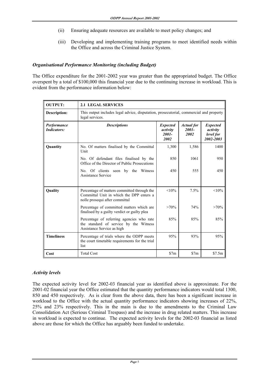- (ii) Ensuring adequate resources are available to meet policy changes; and
- (iii) Developing and implementing training programs to meet identified needs within the Office and across the Criminal Justice System.

# *Organisational Performance Monitoring (including Budget)*

The Office expenditure for the 2001-2002 year was greater than the appropriated budget. The Office overspent by a total of \$100,000 this financial year due to the continuing increase in workload. This is evident from the performance information below:

| <b>OUTPUT:</b>                    | <b>2.1 LEGAL SERVICES</b>                                                                                                 |                                                 |                                       |                                                       |  |  |
|-----------------------------------|---------------------------------------------------------------------------------------------------------------------------|-------------------------------------------------|---------------------------------------|-------------------------------------------------------|--|--|
| Description:                      | This output includes legal advice, disputation, prosecutorial, commercial and property<br>legal services.                 |                                                 |                                       |                                                       |  |  |
| Performance<br><b>Indicators:</b> | <b>Descriptions</b>                                                                                                       | <b>Expected</b><br>activity<br>$2001 -$<br>2002 | <b>Actual</b> for<br>$2001 -$<br>2002 | <b>Expected</b><br>activity<br>level for<br>2002-2003 |  |  |
| Quantity                          | No. Of matters finalised by the Committal<br>Unit                                                                         | 1,300                                           | 1,586                                 | 1400                                                  |  |  |
|                                   | No. Of defendant files finalised by the<br>Office of the Director of Public Prosecutions                                  | 850                                             | 1061                                  | 950                                                   |  |  |
|                                   | No. Of clients seen by the Witness<br>Assistance Service                                                                  | 450                                             | 555                                   | 450                                                   |  |  |
| Quality                           | Percentage of matters committed through the<br>Committal Unit in which the DPP enters a<br>nolle prosequi after committal | $< 10\%$                                        | 7.5%                                  | <10%                                                  |  |  |
|                                   | Percentage of committed matters which are<br>finalised by a guilty verdict or guilty plea                                 | $>70\%$                                         | 74%                                   | $>70\%$                                               |  |  |
|                                   | Percentage of referring agencies who rate<br>the standard of service by the Witness<br>Assistance Service as high         | 85%                                             | 85%                                   | 85%                                                   |  |  |
| <b>Timeliness</b>                 | Percentage of trials where the ODPP meets<br>the court timetable requirements for the trial<br>list                       | 95%                                             | 93%                                   | 95%                                                   |  |  |
| Cost                              | <b>Total Cost</b>                                                                                                         | \$7m                                            | \$7m                                  | \$7.5m                                                |  |  |

# *Activity levels*

The expected activity level for 2002-03 financial year as identified above is approximate. For the 2001-02 financial year the Office estimated that the quantity performance indicators would total 1300, 850 and 450 respectively. As is clear from the above data, there has been a significant increase in workload to the Office with the actual quantity performance indicators showing increases of 22%, 25% and 23% respectively. This in the main is due to the amendments to the Criminal Law Consolidation Act (Serious Criminal Trespass) and the increase in drug related matters. This increase in workload is expected to continue. The expected activity levels for the 2002-03 financial as listed above are those for which the Office has arguably been funded to undertake.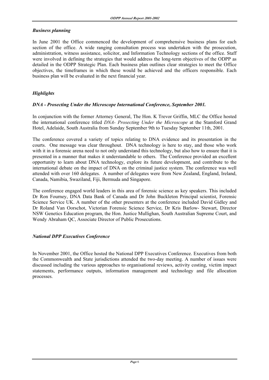# *Business planning*

In June 2001 the Office commenced the development of comprehensive business plans for each section of the office. A wide ranging consultation process was undertaken with the prosecution, administration, witness assistance, solicitor, and Information Technology sections of the office. Staff were involved in defining the strategies that would address the long-term objectives of the ODPP as detailed in the ODPP Strategic Plan. Each business plan outlines clear strategies to meet the Office objectives, the timeframes in which these would be achieved and the officers responsible. Each business plan will be evaluated in the next financial year.

# *Highlights*

# *DNA - Prosecting Under the Microscope International Conference, September 2001.*

In conjunction with the former Attorney General, The Hon. K Trevor Griffin, MLC the Office hosted the international conference titled *DNA- Prosecting Under the Microscope* at the Stamford Grand Hotel, Adelaide, South Australia from Sunday September 9th to Tuesday September 11th, 2001.

The conference covered a variety of topics relating to DNA evidence and its presentation in the courts. One message was clear throughout. DNA technology is here to stay, and those who work with it in a forensic arena need to not only understand this technology, but also how to ensure that it is presented in a manner that makes it understandable to others. The Conference provided an excellent opportunity to learn about DNA technology, explore its future development, and contribute to the international debate on the impact of DNA on the criminal justice system. The conference was well attended with over 160 delegates. A number of delegates were from New Zealand, England, Ireland, Canada, Namibia, Swaziland, Fiji, Bermuda and Singapore.

The conference engaged world leaders in this area of forensic science as key speakers. This included Dr Ron Fourney, DNA Data Bank of Canada and Dr John Buckleton Principal scientist, Forensic Science Service UK. A number of the other presenters at the conference included David Gidley and Dr Roland Van Oorschot, Victorian Forensic Science Service, Dr Kris Barlow- Stewart, Director NSW Genetics Education program, the Hon. Justice Mullighan, South Australian Supreme Court, and Wendy Abraham QC, Associate Director of Public Prosecutions.

# *National DPP Executives Conference*

In November 2001, the Office hosted the National DPP Executives Conference. Executives from both the Commonwealth and State jurisdictions attended the two-day meeting. A number of issues were discussed including the various approaches to organisational reviews, activity costing, victim impact statements, performance outputs, information management and technology and file allocation processes.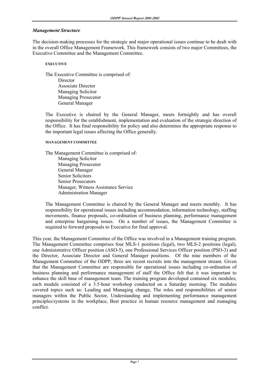# *Management Structure*

The decision-making processes for the strategic and major operational issues continue to be dealt with in the overall Office Management Framework. This framework consists of two major Committees, the Executive Committee and the Management Committee.

#### **EXECUTIVE**

 The Executive Committee is comprised of: **Director**  Associate Director Managing Solicitor Managing Prosecutor General Manager

 The Executive is chaired by the General Manager, meets fortnightly and has overall responsibility for the establishment, implementation and evaluation of the strategic direction of the Office. It has final responsibility for policy and also determines the appropriate response to the important legal issues affecting the Office generally.

#### **MANAGEMENT COMMITTEE**

 The Management Committee is comprised of: Managing Solicitor Managing Prosecutor General Manager Senior Solicitors Senior Prosecutors Manager, Witness Assistance Service Administration Manager

 The Management Committee is chaired by the General Manager and meets monthly. It has responsibility for operational issues including accommodation, information technology, staffing movements, finance proposals, co-ordination of business planning, performance management and enterprise bargaining issues. On a number of issues, the Management Committee is required to forward proposals to Executive for final approval.

This year, the Management Committee of the Office was involved in a Management training program. The Management Committee comprises four MLS-1 positions (legal), two MLS-2 positions (legal), one Administrative Officer position (ASO-5), one Professional Services Officer position (PSO-3) and the Director, Associate Director and General Manager positions. Of the nine members of the Management Committee of the ODPP, three are recent recruits into the management stream. Given that the Management Committee are responsible for operational issues including co-ordination of business planning and performance management of staff the Office felt that it was important to enhance the skill base of management team. The training program developed contained six modules; each module consisted of a 3.5-hour workshop conducted on a Saturday morning. The modules covered topics such as: Leading and Managing change, The roles and responsibilities of senior managers within the Public Sector, Understanding and implementing performance management principles/systems in the workplace, Best practice in human resource management and managing conflict.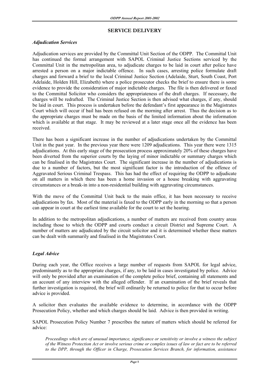# **SERVICE DELIVERY**

# *Adjudication Services*

Adjudication services are provided by the Committal Unit Section of the ODPP. The Committal Unit has continued the formal arrangement with SAPOL Criminal Justice Sections serviced by the Committal Unit in the metropolitan area, to adjudicate charges to be laid in court after police have arrested a person on a major indictable offence. In such cases, arresting police formulate draft charges and forward a brief to the local Criminal Justice Section (Adelaide, Sturt, South Coast, Port Adelaide, Holden Hill, Elizabeth) where a police prosecutor checks the brief to ensure there is some evidence to provide the consideration of major indictable charges. The file is then delivered or faxed to the Committal Solicitor who considers the appropriateness of the draft charges. If necessary, the charges will be redrafted. The Criminal Justice Section is then advised what charges, if any, should be laid in court. This process is undertaken before the defendant's first appearance in the Magistrates Court which will occur if bail has been refused on the morning after arrest. Thus the decision as to the appropriate charges must be made on the basis of the limited information about the information which is available at that stage. It may be reviewed at a later stage once all the evidence has been received.

There has been a significant increase in the number of adjudications undertaken by the Committal Unit in the past year. In the previous year there were 1209 adjudications. This year there were 1315 adjudications. At this early stage of the prosecution process approximately 20% of these charges have been diverted from the superior courts by the laying of minor indictable or summary charges which can be finalised in the Magistrates Court. The significant increase in the number of adjudications is due to a number of factors, but the most significant factor is the introduction of the offence of Aggravated Serious Criminal Trespass. This has had the effect of requiring the ODPP to adjudicate on all matters in which there has been a home invasion or a house breaking with aggravating circumstances or a break-in into a non-residential building with aggravating circumstances.

With the move of the Committal Unit back to the main office, it has been necessary to receive adjudications by fax. Most of the material is faxed to the ODPP early in the morning so that a person can appear in court at the earliest time available for the court to set the hearing.

In addition to the metropolitan adjudications, a number of matters are received from country areas including those to which the ODPP and courts conduct a circuit District and Supreme Court. A number of matters are adjudicated by the circuit solicitor and it is determined whether these matters can be dealt with summarily and finalised in the Magistrates Court.

# *Legal Advice*

During each year, the Office receives a large number of requests from SAPOL for legal advice, predominantly as to the appropriate charges, if any, to be laid in cases investigated by police. Advice will only be provided after an examination of the complete police brief, containing all statements and an account of any interview with the alleged offender. If an examination of the brief reveals that further investigation is required, the brief will ordinarily be returned to police for that to occur before advice is provided.

A solicitor then evaluates the available evidence to determine, in accordance with the ODPP Prosecution Policy, whether and which charges should be laid. Advice is then provided in writing.

SAPOL Prosecution Policy Number 7 prescribes the nature of matters which should be referred for advice:

*Proceedings which are of unusual importance, significance or sensitivity or involve a witness the subject of the Witness Protection Act or involve serious crime or complex issues of law or fact are to be referred to the DPP, through the Officer in Charge, Prosecution Services Branch, for information, assistance*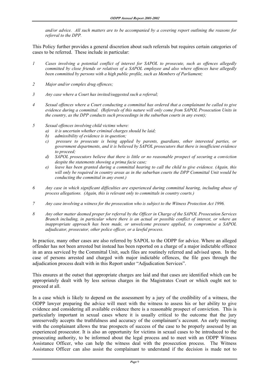*and/or advice. All such matters are to be accompanied by a covering report outlining the reasons for referral to the DPP.* 

This Policy further provides a general discretion about such referrals but requires certain categories of cases to be referred. These include in particular:

- *1 Cases involving a potential conflict of interest for SAPOL to prosecute, such as offences allegedly committed by close friends or relatives of a SAPOL employee and also where offences have allegedly been committed by persons with a high public profile, such as Members of Parliament;*
- *2 Major and/or complex drug offences;*
- *3 Any case where a Court has invited/suggested such a referral;*
- *4 Sexual offences where a Court conducting a committal has ordered that a complainant be called to give evidence during a committal. (Referrals of this nature will only come from SAPOL Prosecution Units in the country, as the DPP conducts such proceedings in the suburban courts in any event);*
- *5 Sexual offences involving child victims where:* 
	- *a) it is uncertain whether criminal charges should be laid;*
	- *b) admissibility of evidence is in question;*
	- *c) pressure to prosecute is being applied by parents, guardians, other interested parties, or government departments, and it is believed by SAPOL prosecutors that there is insufficient evidence to proceed;*
	- *d) SAPOL prosecutors believe that there is little or no reasonable prospect of securing a conviction despite the statements showing a prima facie case;*
	- *e) leave has been granted during a committal hearing to call the child to give evidence. (Again, this will only be required in country areas as in the suburban courts the DPP Committal Unit would be conducting the committal in any event.)*
- *6 Any case in which significant difficulties are experienced during committal hearing, including abuse of process allegations. (Again, this is relevant only to committals in country courts.)*
- *7 Any case involving a witness for the prosecution who is subject to the Witness Protection Act 1996.*
- *8 Any other matter deemed proper for referral by the Officer in Charge of the SAPOL Prosecution Services Branch including, in particular where there is an actual or possible conflict of interest, or where an inappropriate approach has been made, or unwelcome pressure applied, to compromise a SAPOL adjudicator, prosecutor, other police officer, or a lawful process.*

In practice, many other cases are also referred by SAPOL to the ODPP for advice. Where an alleged offender has not been arrested but instead has been reported on a charge of a major indictable offence in an area serviced by the Committal Unit, such files are routinely referred and advised upon. In the case of persons arrested and charged with major indictable offences, the file goes through the adjudication process dealt with in this Report under "Adjudication Services".

This ensures at the outset that appropriate charges are laid and that cases are identified which can be appropriately dealt with by less serious charges in the Magistrates Court or which ought not to proceed at all.

In a case which is likely to depend on the assessment by a jury of the credibility of a witness, the ODPP lawyer preparing the advice will meet with the witness to assess his or her ability to give evidence and considering all available evidence there is a reasonable prospect of conviction. This is particularly important in sexual cases where it is usually critical to the outcome that the jury unreservedly accepts the truthfulness and accuracy of the complainant's account. An early meeting with the complainant allows the true prospects of success of the case to be properly assessed by an experienced prosecutor. It is also an opportunity for victims in sexual cases to be introduced to the prosecuting authority, to be informed about the legal process and to meet with an ODPP Witness Assistance Officer, who can help the witness deal with the prosecution process. The Witness Assistance Officer can also assist the complainant to understand if the decision is made not to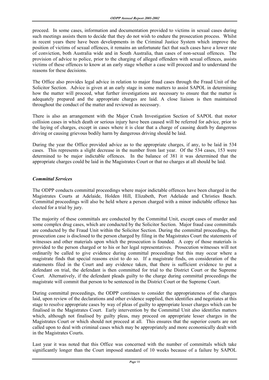proceed. In some cases, information and documentation provided to victims in sexual cases during such meetings assists them to decide that they do not wish to endure the prosecution process. Whilst in recent years there have been developments in the Criminal Justice System which improve the position of victims of sexual offences, it remains an unfortunate fact that such cases have a lower rate of conviction, both Australia wide and in South Australia, than cases of non-sexual offences. The provision of advice to police, prior to the charging of alleged offenders with sexual offences, assists victims of these offences to know at an early stage whether a case will proceed and to understand the reasons for these decisions.

The Office also provides legal advice in relation to major fraud cases through the Fraud Unit of the Solicitor Section. Advice is given at an early stage in some matters to assist SAPOL in determining how the matter will proceed, what further investigations are necessary to ensure that the matter is adequately prepared and the appropriate charges are laid. A close liaison is then maintained throughout the conduct of the matter and reviewed as necessary.

There is also an arrangement with the Major Crash Investigation Section of SAPOL that motor collision cases in which death or serious injury have been caused will be referred for advice, prior to the laying of charges, except in cases where it is clear that a charge of causing death by dangerous driving or causing grievous bodily harm by dangerous driving should be laid.

During the year the Office provided advice as to the appropriate charges, if any, to be laid in 534 cases. This represents a slight decrease in the number from last year. Of the 534 cases, 153 were determined to be major indictable offences. In the balance of 381 it was determined that the appropriate charges could be laid in the Magistrates Court or that no charges at all should be laid.

# *Committal Services*

The ODPP conducts committal proceedings where major indictable offences have been charged in the Magistrates Courts at Adelaide, Holden Hill, Elizabeth, Port Adelaide and Christies Beach. Committal proceedings will also be held where a person charged with a minor indictable offence has elected for a trial by jury.

The majority of these committals are conducted by the Committal Unit, except cases of murder and some complex drug cases, which are conducted by the Solicitor Section. Major fraud case committals are conducted by the Fraud Unit within the Solicitor Section. During the committal proceedings, the prosecution case is disclosed to the person charged by filing in the Magistrates Court the statements of witnesses and other materials upon which the prosecution is founded. A copy of those materials is provided to the person charged or to his or her legal representatives. Prosecution witnesses will not ordinarily be called to give evidence during committal proceedings but this may occur where a magistrate finds that special reasons exist to do so. If a magistrate finds, on consideration of the statements filed in the Court and any evidence taken, that there is sufficient evidence to put a defendant on trial, the defendant is then committed for trial to the District Court or the Supreme Court. Alternatively, if the defendant pleads guilty to the charge during committal proceedings the magistrate will commit that person to be sentenced in the District Court or the Supreme Court.

During committal proceedings, the ODPP continues to consider the appropriateness of the charges laid, upon review of the declarations and other evidence supplied, then identifies and negotiates at this stage to resolve appropriate cases by way of pleas of guilty to appropriate lesser charges which can be finalised in the Magistrates Court. Early intervention by the Committal Unit also identifies matters which, although not finalised by guilty pleas, may proceed on appropriate lesser charges in the Magistrates Court or which should not proceed at all. This ensures that the superior courts are not called upon to deal with criminal cases which may be appropriately and more economically dealt with in the Magistrates Courts.

Last year it was noted that this Office was concerned with the number of committals which take significantly longer than the Court imposed standard of 10 weeks because of a failure by SAPOL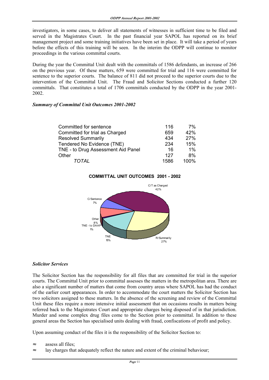investigators, in some cases, to deliver all statements of witnesses in sufficient time to be filed and served in the Magistrates Court. In the past financial year SAPOL has reported on its brief management project and some training initiatives have been set in place. It will take a period of years before the effects of this training will be seen. In the interim the ODPP will continue to monitor proceedings in the various committal courts.

During the year the Committal Unit dealt with the committals of 1586 defendants, an increase of 266 on the previous year. Of these matters, 659 were committed for trial and 116 were committed for sentence to the superior courts. The balance of 811 did not proceed to the superior courts due to the intervention of the Committal Unit. The Fraud and Solicitor Sections conducted a further 120 committals. That constitutes a total of 1706 committals conducted by the ODPP in the year 2001- 2002.

## *Summary of Committal Unit Outcomes 2001-2002*

| Committed for sentence             | 116  | 7%    |
|------------------------------------|------|-------|
| Committed for trial as Charged     | 659  | 42%   |
| <b>Resolved Summarily</b>          | 434  | 27%   |
| Tendered No Evidence (TNE)         | 234  | 15%   |
| TNE - to Drug Assessment Aid Panel | 16   | $1\%$ |
| Other                              | 127  | 8%    |
| TOTAL                              | 1586 | 100%  |



# **COMMITTAL UNIT OUTCOMES 2001 - 2002**

# *Solicitor Services*

The Solicitor Section has the responsibility for all files that are committed for trial in the superior courts. The Committal Unit prior to committal assesses the matters in the metropolitan area. There are also a significant number of matters that come from country areas where SAPOL has had the conduct of the earlier court appearances. In order to accommodate the court matters the Solicitor Section has two solicitors assigned to these matters. In the absence of the screening and review of the Committal Unit these files require a more intensive initial assessment that on occasions results in matters being referred back to the Magistrates Court and appropriate charges being disposed of in that jurisdiction. Murder and some complex drug files come to the Section prior to committal. In addition to these general areas the Section has specialised units dealing with fraud, confiscations of profit and policy.

Upon assuming conduct of the files it is the responsibility of the Solicitor Section to:

- ≈ assess all files;
- ≈ lay charges that adequately reflect the nature and extent of the criminal behaviour;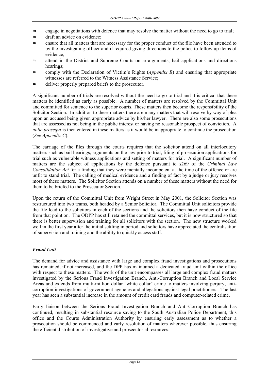- ≈ engage in negotiations with defence that may resolve the matter without the need to go to trial;
- ≈ draft an advice on evidence;
- ensure that all matters that are necessary for the proper conduct of the file have been attended to by the investigating officer and if required giving directions to the police to follow up items of evidence;
- ≈ attend in the District and Supreme Courts on arraignments, bail applications and directions hearings;
- ≈ comply with the Declaration of Victim's Rights (*Appendix B*) and ensuring that appropriate witnesses are referred to the Witness Assistance Service;
- ≈ deliver properly prepared briefs to the prosecutor.

A significant number of trials are resolved without the need to go to trial and it is critical that these matters be identified as early as possible. A number of matters are resolved by the Committal Unit and committed for sentence to the superior courts. These matters then become the responsibility of the Solicitor Section. In addition to these matters there are many matters that will resolve by way of plea upon an accused being given appropriate advice by his/her lawyer. There are also some prosecutions that are assessed as not being in the public interest or having no reasonable prospect of conviction. A *nolle prosequi* is then entered in these matters as it would be inappropriate to continue the prosecution (*See Appendix C*).

The carriage of the files through the courts requires that the solicitor attend on all interlocutory matters such as bail hearings, arguments on the law prior to trial, filing of prosecution applications for trial such as vulnerable witness applications and setting of matters for trial. A significant number of matters are the subject of applications by the defence pursuant to s269 of the *Criminal Law Consolidation Act* for a finding that they were mentally incompetent at the time of the offence or are unfit to stand trial. The calling of medical evidence and a finding of fact by a judge or jury resolves most of these matters. The Solicitor Section attends on a number of these matters without the need for them to be briefed to the Prosecutor Section.

Upon the return of the Committal Unit from Wright Street in May 2001, the Solicitor Section was restructured into two teams, both headed by a Senior Solicitor. The Committal Unit solicitors provide the file load to the solicitors in each of the sections and the solicitors then have conduct of the file from that point on. The ODPP has still retained the committal services, but it is now structured so that there is better supervision and training for all solicitors with the section. The new structure worked well in the first year after the initial settling in period and solicitors have appreciated the centralisation of supervision and training and the ability to quickly access staff.

# *Fraud Unit*

The demand for advice and assistance with large and complex fraud investigations and prosecutions has remained, if not increased, and the DPP has maintained a dedicated fraud unit within the office with respect to these matters. The work of the unit encompasses all large and complex fraud matters investigated by the Serious Fraud Investigation Branch, Anti-Corruption Branch and Local Service Areas and extends from multi-million dollar "white collar" crime to matters involving perjury, anticorruption investigations of government agencies and allegations against legal practitioners. The last year has seen a substantial increase in the amount of credit card frauds and computer-related crime.

Early liaison between the Serious Fraud Investigation Branch and Anti-Corruption Branch has continued, resulting in substantial resource saving to the South Australian Police Department, this office and the Courts Administration Authority by ensuring early assessment as to whether a prosecution should be commenced and early resolution of matters wherever possible, thus ensuring the efficient distribution of investigative and prosecutorial resources.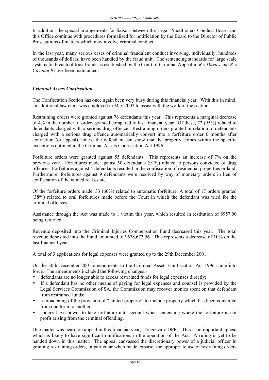In addition, the special arrangements for liaison between the Legal Practitioners Conduct Board and this Office continue with procedures formalised for notification by the Board to the Director of Public Prosecutions of matters which may involve criminal conduct.

In the last year, many serious cases of criminal fraudulent conduct involving, individually, hundreds of thousands of dollars, have been handled by the fraud unit. The sentencing standards for large scale systematic breach of trust frauds as established by the Court of Criminal Appeal in *R v Davies* and *R v Cavanagh* have been maintained.

# *Criminal Assets Confiscation*

The Confiscation Section has once again been very busy during this financial year. With this in mind, an additional law clerk was employed in May 2002 to assist with the work of the section.

Restraining orders were granted against 76 defendants this year. This represents a marginal decrease of 4% in the number of orders granted compared to last financial year. Of these, 72 (95%) related to defendants charged with a serious drug offence. Restraining orders granted in relation to defendants charged with a serious drug offence automatically convert into a forfeiture order 6 months after conviction (or appeal), unless the defendant can show that the property comes within the specific exceptions outlined in the Criminal Assets Confiscation Act 1996.

Forfeiture orders were granted against 55 defendants. This represents an increase of 7% on the previous year. Forfeitures made against 50 defendants (91%) related to persons convicted of drug offences. Forfeitures against 4 defendants resulted in the confiscation of residential properties or land. Furthermore, forfeitures against 9 defendants were resolved by way of monetary orders in lieu of confiscation of the tainted real estate.

Of the forfeiture orders made, 33 (60%) related to automatic forfeiture. A total of 17 orders granted (38%) related to oral forfeitures made before the Court in which the defendant was tried for the criminal offences.

Assistance through the Act was made to 1 victim this year, which resulted in restitution of \$957.00 being returned.

Revenue deposited into the Criminal Injuries Compensation Fund decreased this year. The total revenue deposited into the Fund amounted to \$678,673.56. This represents a decrease of 10% on the last financial year.

A total of 3 applications for legal expenses were granted up to the 29th December 2001.

On the 30th December 2001 amendments to the Criminal Assets Confiscation Act 1996 came into force. The amendments included the following changes:-

- defendants are no longer able to access restrained funds for legal expenses directly;
- if a defendant has no other means of paying for legal expenses and counsel is provided by the Legal Services Commission of SA, the Commission may recover monies spent on that defendant from restrained funds;
- a broadening of the provision of "tainted property" to include property which has been converted from one form to another;
- Judges have power to take forfeiture into account when sentencing where the forfeiture is not profit arising from the criminal offending.

One matter was heard on appeal in this financial year, Tregenza v DPP. This is an important appeal which is likely to have significant ramifications in the operation of the Act. A ruling is yet to be handed down in this matter. The appeal canvassed the discretionary power of a judicial officer in granting restraining orders, in particular when made exparte; the appropriate use of restraining orders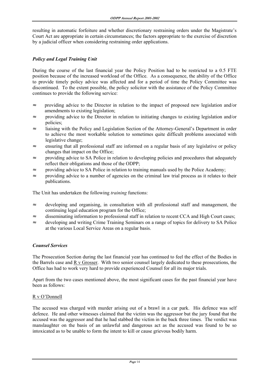resulting in automatic forfeiture and whether discretionary restraining orders under the Magistrate's Court Act are appropriate in certain circumstances; the factors appropriate to the exercise of discretion by a judicial officer when considering restraining order applications.

# *Policy and Legal Training Unit*

During the course of the last financial year the Policy Position had to be restricted to a 0.5 FTE position because of the increased workload of the Office. As a consequence, the ability of the Office to provide timely policy advice was affected and for a period of time the Policy Committee was discontinued. To the extent possible, the policy solicitor with the assistance of the Policy Committee continues to provide the following service:

- ≈ providing advice to the Director in relation to the impact of proposed new legislation and/or amendments to existing legislation;
- ≈ providing advice to the Director in relation to initiating changes to existing legislation and/or policies;
- ≈ liaising with the Policy and Legislation Section of the Attorney-General's Department in order to achieve the most workable solution to sometimes quite difficult problems associated with legislative change;
- ≈ ensuring that all professional staff are informed on a regular basis of any legislative or policy changes that impact on the Office;
- ≈ providing advice to SA Police in relation to developing policies and procedures that adequately reflect their obligations and those of the ODPP;
- ≈ providing advice to SA Police in relation to training manuals used by the Police Academy;
- ≈ providing advice to a number of agencies on the criminal law trial process as it relates to their publications.

The Unit has undertaken the following *training* functions:

- ≈ developing and organising, in consultation with all professional staff and management, the continuing legal education program for the Office;
- ≈ disseminating information to professional staff in relation to recent CCA and High Court cases;
- ≈ developing and writing Crime Training Seminars on a range of topics for delivery to SA Police at the various Local Service Areas on a regular basis.

# *Counsel Services*

The Prosecution Section during the last financial year has continued to feel the effect of the Bodies in the Barrels case and R v Grosser. With two senior counsel largely dedicated to these prosecutions, the Office has had to work very hard to provide experienced Counsel for all its major trials.

Apart from the two cases mentioned above, the most significant cases for the past financial year have been as follows:

# R v O'Donnell

The accused was charged with murder arising out of a brawl in a car park. His defence was self defence. He and other witnesses claimed that the victim was the aggressor but the jury found that the accused was the aggressor and that he had stabbed the victim in the back three times. The verdict was manslaughter on the basis of an unlawful and dangerous act as the accused was found to be so intoxicated as to be unable to form the intent to kill or cause grievous bodily harm.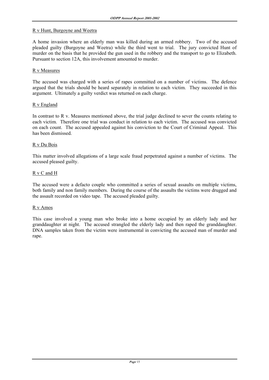## R v Hunt, Burgoyne and Weetra

A home invasion where an elderly man was killed during an armed robbery. Two of the accused pleaded guilty (Burgoyne and Weetra) while the third went to trial. The jury convicted Hunt of murder on the basis that he provided the gun used in the robbery and the transport to go to Elizabeth. Pursuant to section 12A, this involvement amounted to murder.

## R v Measures

The accused was charged with a series of rapes committed on a number of victims. The defence argued that the trials should be heard separately in relation to each victim. They succeeded in this argument. Ultimately a guilty verdict was returned on each charge.

## R v England

In contrast to R v. Measures mentioned above, the trial judge declined to sever the counts relating to each victim. Therefore one trial was conduct in relation to each victim. The accused was convicted on each count. The accused appealed against his conviction to the Court of Criminal Appeal. This has been dismissed.

# R v Du Bois

This matter involved allegations of a large scale fraud perpetrated against a number of victims. The accused pleased guilty.

## R v C and H

The accused were a defacto couple who committed a series of sexual assaults on multiple victims, both family and non family members. During the course of the assaults the victims were drugged and the assault recorded on video tape. The accused pleaded guilty.

## R v Amos

This case involved a young man who broke into a home occupied by an elderly lady and her granddaughter at night. The accused strangled the elderly lady and then raped the granddaughter. DNA samples taken from the victim were instrumental in convicting the accused man of murder and rape.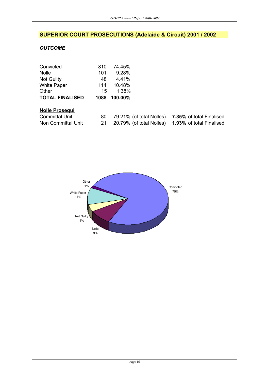# **SUPERIOR COURT PROSECUTIONS (Adelaide & Circuit) 2001 / 2002**

# *OUTCOME*

| Convicted              | 810  | 74.45%  |                          |                                 |
|------------------------|------|---------|--------------------------|---------------------------------|
| Nolle                  | 101  | 9.28%   |                          |                                 |
| <b>Not Guilty</b>      | 48   | 4.41%   |                          |                                 |
| <b>White Paper</b>     | 114  | 10.48%  |                          |                                 |
| Other                  | 15   | 1.38%   |                          |                                 |
| <b>TOTAL FINALISED</b> | 1088 | 100.00% |                          |                                 |
| <b>Nolle Prosegui</b>  |      |         |                          |                                 |
| <b>Committal Unit</b>  | 80   |         | 79.21% (of total Nolles) | 7.35% of total Finalised        |
| Non Committal Unit     | 21   |         | 20.79% (of total Nolles) | <b>1.93%</b> of total Finalised |

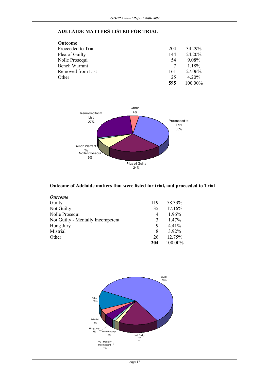# **ADELAIDE MATTERS LISTED FOR TRIAL**

| Outcome              |     |          |
|----------------------|-----|----------|
| Proceeded to Trial   | 204 | 34 29%   |
| Plea of Guilty       | 144 | 24.20%   |
| Nolle Prosequi       | 54  | 9.08%    |
| <b>Bench Warrant</b> | 7   | 1.18%    |
| Removed from List    | 161 | 27.06%   |
| Other                | 25  | $4.20\%$ |
|                      | 595 | 100.00%  |



# **Outcome of Adelaide matters that were listed for trial, and proceeded to Trial**

| <b>Outcome</b>                    |     |          |
|-----------------------------------|-----|----------|
| Guilty                            | 119 | 58.33%   |
| Not Guilty                        | 35  | 17.16%   |
| Nolle Prosequi                    | 4   | $1.96\%$ |
| Not Guilty - Mentally Incompetent | 3   | $1.47\%$ |
| Hung Jury                         | 9   | $4.41\%$ |
| Mistrial                          | 8   | 3.92%    |
| Other                             | 26  | 12.75%   |
|                                   | 204 | 100.00%  |

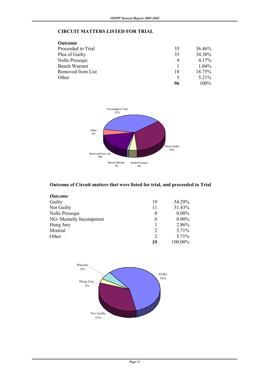# **CIRCUIT MATTERS LISTED FOR TRIAL**

| <b>Outcome</b>     |    |          |
|--------------------|----|----------|
| Proceeded to Trial | 35 | 36.46%   |
| Plea of Guilty     | 33 | 34.38%   |
| Nolle Prosequi     | 4  | 4.17%    |
| Bench Warrant      |    | $1.04\%$ |
| Removed from List  | 18 | 18.75%   |
| Other              |    | 5.21%    |
|                    | 96 | $100\%$  |



# **Outcome of Circuit matters that were listed for trial, and proceeded to Trial**

| <b>Outcome</b>           |          |          |
|--------------------------|----------|----------|
| Guilty                   | 19       | 54.29%   |
| Not Guilty               | 11       | 31.43%   |
| Nolle Prosequi           | $\theta$ | $0.00\%$ |
| NG- Mentally Incompetent | $\theta$ | $0.00\%$ |
| Hung Jury                |          | 2.86%    |
| Mistrial                 | 2        | 5.71%    |
| Other                    | 2        | 5.71%    |
|                          | 35       | 100.00%  |

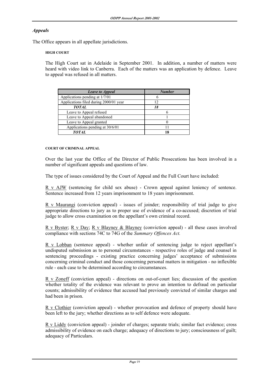# *Appeals*

The Office appears in all appellate jurisdictions.

## **HIGH COURT**

 The High Court sat in Adelaide in September 2001. In addition, a number of matters were heard with video link to Canberra. Each of the matters was an application by defence. Leave to appeal was refused in all matters.

| <b>Leave to Appeal</b>                 | <b>Number</b> |
|----------------------------------------|---------------|
| Applications pending at 1/7/01         |               |
| Applications filed during 2000/01 year | 12            |
| <b>TOTAL</b>                           | 18            |
| Leave to Appeal refused                |               |
| Leave to Appeal abandoned              |               |
| Leave to Appeal granted                |               |
| Applications pending at 30/6/01        |               |
| <b>TOTAL</b>                           | 18            |

#### **COURT OF CRIMINAL APPEAL**

 Over the last year the Office of the Director of Public Prosecutions has been involved in a number of significant appeals and questions of law.

The type of issues considered by the Court of Appeal and the Full Court have included:

 R v AJW (sentencing for child sex abuse) - Crown appeal against leniency of sentence. Sentence increased from 12 years imprisonment to 18 years imprisonment.

 R v Maurangi (conviction appeal) - issues of joinder; responsibility of trial judge to give appropriate directions to jury as to proper use of evidence of a co-accused; discretion of trial judge to allow cross examination on the appellant's own criminal record.

 R v Byster; R v Day; R v Blayney & Blayney (conviction appeal) - all these cases involved compliance with sections 74C to 74G of the *Summary Offences Act.*

 R v Lobban (sentence appeal) - whether unfair of sentencing judge to reject appellant's undisputed submission as to personal circumstances - respective roles of judge and counsel in sentencing proceedings - existing practice concerning judges' acceptance of submissions concerning criminal conduct and those concerning personal matters in mitigation - no inflexible rule - each case to be determined according to circumstances.

 R v Zoneff (conviction appeal) - directions on out-of-court lies; discussion of the question whether totality of the evidence was relevant to prove an intention to defraud on particular counts; admissibility of evidence that accused had previously convicted of similar charges and had been in prison.

 R v Clothier (conviction appeal) - whether provocation and defence of property should have been left to the jury; whether directions as to self defence were adequate.

 R v Liddy (conviction appeal) - joinder of charges; separate trials; similar fact evidence; cross admissibility of evidence on each charge; adequacy of directions to jury; consciousness of guilt; adequacy of Particulars.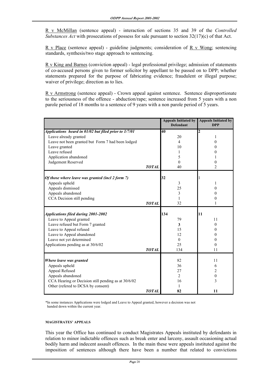R v McMillan (sentence appeal) - interaction of sections 35 and 39 of the *Controlled Substances Act* with prosecutions of possess for sale pursuant to section 32(17)(c) of that Act.

 R v Place (sentence appeal) - guideline judgments; consideration of R v Wong; sentencing standards, synthesis/two stage approach to sentencing.

 R v King and Barnes (conviction appeal) - legal professional privilege; admission of statements of co-accused persons given to former solicitor by appellant to be passed on to DPP; whether statements prepared for the purpose of fabricating evidence; fraudulent or illegal purpose; waiver of privilege; direction as to lies.

 R v Armstrong (sentence appeal) - Crown appeal against sentence. Sentence disproportionate to the seriousness of the offence - abduction/rape; sentence increased from 5 years with a non parole period of 18 months to a sentence of 9 years with a non parole period of 5 years.

|                                                                                           |              | <b>Appeals Initiated by</b><br><b>Defendant</b> | <b>Appeals Initiated by</b><br><b>DPP</b> |
|-------------------------------------------------------------------------------------------|--------------|-------------------------------------------------|-------------------------------------------|
| Applications heard in 01/02 but filed prior to 1/7/01                                     |              | 40                                              | $\mathbf{2}$                              |
| Leave already granted                                                                     |              | 20                                              | 1                                         |
| Leave not been granted but Form 7 had been lodged                                         |              | $\overline{4}$                                  | 0                                         |
| Leave granted                                                                             |              | 10                                              | 0                                         |
| Leave refused                                                                             |              | 1                                               | 0                                         |
| Application abandoned                                                                     |              | 5                                               |                                           |
| Judgement Reserved                                                                        |              | $\theta$                                        | $\boldsymbol{0}$                          |
|                                                                                           | <b>TOTAL</b> | 40                                              | 2                                         |
| Of those where leave was granted (incl 2 form 7)                                          |              | 32                                              |                                           |
| Appeals upheld                                                                            |              | 3                                               | 1                                         |
| Appeals dismissed                                                                         |              | 25                                              | 0                                         |
| Appeals abandoned                                                                         |              | 3                                               | $^{(1)}$                                  |
| CCA Decision still pending                                                                |              | 1                                               | 0                                         |
|                                                                                           | <b>TOTAL</b> | 32                                              | 1                                         |
|                                                                                           |              |                                                 |                                           |
| <b>Applications filed during 2001-2002</b>                                                |              | 134                                             | 11                                        |
| Leave to Appeal granted                                                                   |              | 79                                              | 11                                        |
| Leave refused but Form 7 granted                                                          |              | 3                                               | $\theta$                                  |
| Leave to Appeal refused                                                                   |              | 15                                              | 0                                         |
| Leave to Appeal abandoned                                                                 |              | 12                                              | 0                                         |
| Leave not yet determined                                                                  |              | $\theta$                                        | 0                                         |
| Applications pending as at 30/6/02                                                        |              | 25                                              | 0                                         |
|                                                                                           | <b>TOTAL</b> | 134                                             | 11                                        |
| Where leave was granted                                                                   |              | 82                                              | 11                                        |
| Appeals upheld                                                                            |              | 36                                              |                                           |
|                                                                                           |              |                                                 | 6                                         |
|                                                                                           |              |                                                 |                                           |
| Appeal Refused                                                                            |              | 27                                              | $\overline{2}$                            |
| Appeals abandoned                                                                         |              | 2                                               | $\boldsymbol{0}$                          |
| CCA Hearing or Decision still pending as at 30/6/02<br>Other (refered to DCSA by consent) |              | 16<br>1                                         | 3                                         |

 \*In some instances Applications were lodged and Leave to Appeal granted, however a decision was not handed down within the current year.

#### **MAGISTRATES' APPEALS**

 This year the Office has continued to conduct Magistrates Appeals instituted by defendants in relation to minor indictable offences such as break enter and larceny, assault occasioning actual bodily harm and indecent assault offences. In the main these were appeals instituted against the imposition of sentences although there have been a number that related to convictions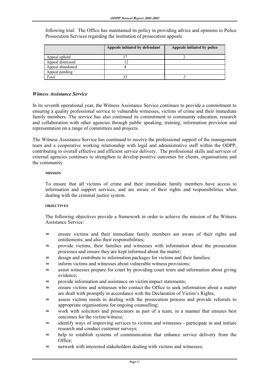following trial. The Office has maintained its policy in providing advice and opinions to Police Prosecution Services regarding the institution of prosecution appeals.

|                  | Appeals initiated by defendant | Appeals initiated by police |
|------------------|--------------------------------|-----------------------------|
| Appeal upheld    |                                |                             |
| Appeal dismissed |                                |                             |
| Appeal abandoned |                                |                             |
| Appeal pending   |                                |                             |
| Total            |                                |                             |

# *Witness Assistance Service*

In its seventh operational year, the Witness Assistance Service continues to provide a commitment to ensuring a quality professional service to vulnerable witnesses, victims of crime and their immediate family members. The service has also continued its commitment to community education, research and collaboration with other agencies through public speaking, training, information provision and representation on a range of committees and projects.

The Witness Assistance Service has continued to receive the professional support of the management team and a cooperative working relationship with legal and administrative staff within the ODPP, contributing to overall effective and efficient service delivery. The professional skills and services of external agencies continues to strengthen to develop positive outcomes for clients, organisations and the community.

#### **MISSION**

 To ensure that all victims of crime and their immediate family members have access to information and support services, and are aware of their rights and responsibilities when dealing with the criminal justice system.

## **OBJECTIVES**

 The following objectives provide a framework in order to achieve the mission of the Witness Assistance Service:

- ≈ ensure victims and their immediate family members are aware of their rights and entitlements, and also their responsibilities;
- provide victims, their families and witnesses with information about the prosecution processes and ensure they are kept informed about the matter;
- ≈ design and contribute to information packages for victims and their families;
- inform victims and witnesses about vulnerable witness provisions;
- assist witnesses prepare for court by providing court tours and information about giving evidence;
- ≈ provide information and assistance on victim impact statements;
- ≈ ensure victims and witnesses who contact the Office to seek information about a matter are dealt with promptly in accordance with the Declaration of Victim's Rights;
- ≈ assess victims needs in dealing with the prosecution process and provide referrals to appropriate organisations for ongoing counselling;
- work with solicitors and prosecutors as part of a team, in a manner that ensures best outcomes for the victim/witness;
- identify ways of improving services to victims and witnesses participate in and initiate research and conduct customer surveys;
- ≈ help to establish systems of communication that enhance service delivery from the Office;
- ≈ network with interested stakeholders dealing with victims and witnesses;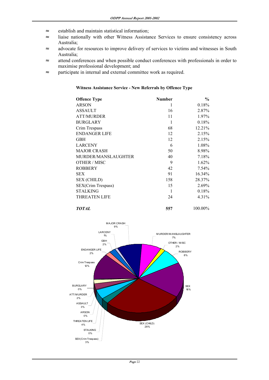- ≈ establish and maintain statistical information;
- ≈ liaise nationally with other Witness Assistance Services to ensure consistency across Australia;
- ≈ advocate for resources to improve delivery of services to victims and witnesses in South Australia;
- ≈ attend conferences and when possible conduct conferences with professionals in order to maximise professional development; and
- ≈ participate in internal and external committee work as required.

# **Witness Assistance Service - New Referrals by Offence Type**

| <b>Offence Type</b>  | <b>Number</b> | $\frac{0}{0}$ |
|----------------------|---------------|---------------|
| <b>ARSON</b>         | 1             | 0.18%         |
| <b>ASSAULT</b>       | 16            | 2.87%         |
| <b>ATT/MURDER</b>    | 11            | 1.97%         |
| <b>BURGLARY</b>      | 1             | 0.18%         |
| Crim Trespass        | 68            | 12.21%        |
| <b>ENDANGER LIFE</b> | 12            | 2.15%         |
| <b>GBH</b>           | 12            | 2.15%         |
| <b>LARCENY</b>       | 6             | 1.08%         |
| <b>MAJOR CRASH</b>   | 50            | 8.98%         |
| MURDER/MANSLAUGHTER  | 40            | 7.18%         |
| OTHER / MISC         | 9             | 1.62%         |
| <b>ROBBERY</b>       | 42            | 7.54%         |
| SEX.                 | 91            | 16.34%        |
| <b>SEX (CHILD)</b>   | 158           | 28.37%        |
| SEX(Crim Trespass)   | 15            | 2.69%         |
| <b>STALKING</b>      | 1             | 0.18%         |
| <b>THREATEN LIFE</b> | 24            | 4.31%         |

*TOTAL* **557** 100.00%

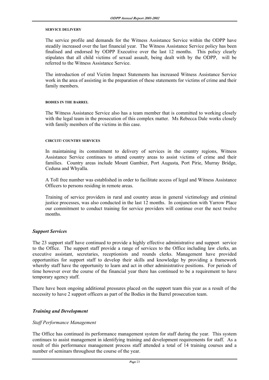#### **SERVICE DELIVERY**

 The service profile and demands for the Witness Assistance Service within the ODPP have steadily increased over the last financial year. The Witness Assistance Service policy has been finalised and endorsed by ODPP Executive over the last 12 months. This policy clearly stipulates that all child victims of sexual assault, being dealt with by the ODPP, will be referred to the Witness Assistance Service.

 The introduction of oral Victim Impact Statements has increased Witness Assistance Service work in the area of assisting in the preparation of these statements for victims of crime and their family members.

#### **BODIES IN THE BARREL**

 The Witness Assistance Service also has a team member that is committed to working closely with the legal team in the prosecution of this complex matter. Ms Rebecca Dale works closely with family members of the victims in this case.

#### **CIRCUIT/ COUNTRY SERVICES**

 In maintaining its commitment to delivery of services in the country regions, Witness Assistance Service continues to attend country areas to assist victims of crime and their families. Country areas include Mount Gambier, Port Augusta, Port Pirie, Murray Bridge, Ceduna and Whyalla.

A Toll free number was established in order to facilitate access of legal and Witness Assistance Officers to persons residing in remote areas.

 Training of service providers in rural and country areas in general victimology and criminal justice processes, was also conducted in the last 12 months. In conjunction with Yarrow Place our commitment to conduct training for service providers will continue over the next twelve months.

#### *Support Services*

The 23 support staff have continued to provide a highly effective administrative and support service to the Office. The support staff provide a range of services to the Office including law clerks, an executive assistant, secretaries, receptionists and rounds clerks. Management have provided opportunities for support staff to develop their skills and knowledge by providing a framework whereby staff have the opportunity to learn and act in other administrative positions. For periods of time however over the course of the financial year there has continued to be a requirement to have temporary agency staff.

There have been ongoing additional pressures placed on the support team this year as a result of the necessity to have 2 support officers as part of the Bodies in the Barrel prosecution team.

## *Training and Development*

#### *Staff Performance Management*

The Office has continued its performance management system for staff during the year. This system continues to assist management in identifying training and development requirements for staff. As a result of this performance management process staff attended a total of 14 training courses and a number of seminars throughout the course of the year.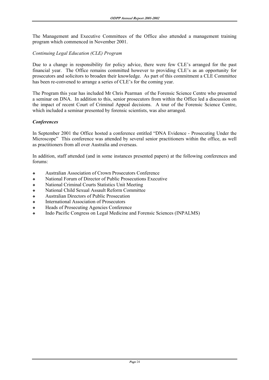The Management and Executive Committees of the Office also attended a management training program which commenced in November 2001.

# *Continuing Legal Education (CLE) Program*

Due to a change in responsibility for policy advice, there were few CLE's arranged for the past financial year. The Office remains committed however to providing CLE's as an opportunity for prosecutors and solicitors to broaden their knowledge. As part of this commitment a CLE Committee has been re-convened to arrange a series of CLE's for the coming year.

The Program this year has included Mr Chris Pearman of the Forensic Science Centre who presented a seminar on DNA. In addition to this, senior prosecutors from within the Office led a discussion on the impact of recent Court of Criminal Appeal decisions. A tour of the Forensic Science Centre, which included a seminar presented by forensic scientists, was also arranged.

# *Conferences*

In September 2001 the Office hosted a conference entitled "DNA Evidence - Prosecuting Under the Microscope" This conference was attended by several senior practitioners within the office, as well as practitioners from all over Australia and overseas.

In addition, staff attended (and in some instances presented papers) at the following conferences and forums:

- ❖ Australian Association of Crown Prosecutors Conference
- ❖ National Forum of Director of Public Prosecutions Executive
- ❖ National Criminal Courts Statistics Unit Meeting
- ❖ National Child Sexual Assault Reform Committee
- ❖ Australian Directors of Public Prosecution
- ❖ International Association of Prosecutors
- ❖ Heads of Prosecuting Agencies Conference
- ❖ Indo Pacific Congress on Legal Medicine and Forensic Sciences (INPALMS)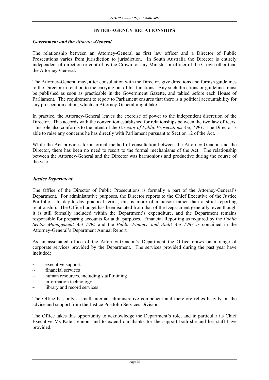# **INTER-AGENCY RELATIONSHIPS**

# *Government and the Attorney-General*

The relationship between an Attorney-General as first law officer and a Director of Public Prosecutions varies from jurisdiction to jurisdiction. In South Australia the Director is entirely independent of direction or control by the Crown, or any Minister or officer of the Crown other than the Attorney-General.

The Attorney-General may, after consultation with the Director, give directions and furnish guidelines to the Director in relation to the carrying out of his functions. Any such directions or guidelines must be published as soon as practicable in the Government Gazette, and tabled before each House of Parliament. The requirement to report to Parliament ensures that there is a political accountability for any prosecution action, which an Attorney-General might take.

In practice, the Attorney-General leaves the exercise of power to the independent discretion of the Director. This accords with the convention established for relationships between the two law officers. This role also conforms to the intent of the *Director of Public Prosecutions Act, 1991*. The Director is able to raise any concerns he has directly with Parliament pursuant to Section 12 of the Act.

While the Act provides for a formal method of consultation between the Attorney-General and the Director, there has been no need to resort to the formal mechanisms of the Act. The relationship between the Attorney-General and the Director was harmonious and productive during the course of the year.

# *Justice Department*

The Office of the Director of Public Prosecutions is formally a part of the Attorney-General's Department. For administrative purposes, the Director reports to the Chief Executive of the Justice Portfolio. In day-to-day practical terms, this is more of a liaison rather than a strict reporting relationship. The Office budget has been isolated from that of the Department generally, even though it is still formally included within the Department's expenditure, and the Department remains responsible for preparing accounts for audit purposes. Financial Reporting as required by the *Public Sector Management Act 1995* and the *Public Finance and Audit Act 1987 is* contained in the Attorney-General's Department Annual Report.

As an associated office of the Attorney-General's Department the Office draws on a range of corporate services provided by the Department. The services provided during the past year have included:

- $\sim$  executive support
- $\sim$  financial services
- human resources, including staff training
- $\sim$  information technology
- $\sim$  library and record services

The Office has only a small internal administrative component and therefore relies heavily on the advice and support from the Justice Portfolio Services Division.

The Office takes this opportunity to acknowledge the Department's role, and in particular its Chief Executive Ms Kate Lennon, and to extend our thanks for the support both she and her staff have provided.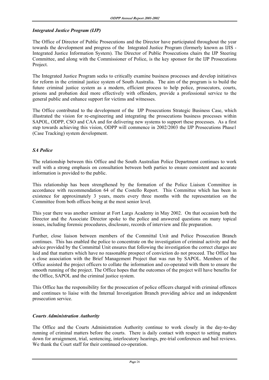# *Integrated Justice Program (IJP)*

The Office of Director of Public Prosecutions and the Director have participated throughout the year towards the development and progress of the Integrated Justice Program (formerly known as IJIS - Integrated Justice Information System). The Director of Public Prosecutions chairs the IJP Steering Committee, and along with the Commissioner of Police, is the key sponsor for the IJP Prosecutions Project.

The Integrated Justice Program seeks to critically examine business processes and develop initiatives for reform in the criminal justice system of South Australia. The aim of the program is to build the future criminal justice system as a modern, efficient process to help police, prosecutors, courts, prisons and probation deal more effectively with offenders, provide a professional service to the general public and enhance support for victims and witnesses.

The Office contributed to the development of the IJP Prosecutions Strategic Business Case, which illustrated the vision for re-engineering and integrating the prosecutions business processes within SAPOL, ODPP, CSO and CAA and for delivering new systems to support these processes. As a first step towards achieving this vision, ODPP will commence in 2002/2003 the IJP Prosecutions Phase1 (Case Tracking) system development.

# *SA Police*

The relationship between this Office and the South Australian Police Department continues to work well with a strong emphasis on consultation between both parties to ensure consistent and accurate information is provided to the public.

This relationship has been strengthened by the formation of the Police Liaison Committee in accordance with recommendation 64 of the Costello Report. This Committee which has been in existence for approximately 3 years, meets every three months with the representation on the Committee from both offices being at the most senior level.

This year there was another seminar at Fort Largs Academy in May 2002. On that occasion both the Director and the Associate Director spoke to the police and answered questions on many topical issues, including forensic procedures, disclosure, records of interview and file preparation.

Further, close liaison between members of the Committal Unit and Police Prosecution Branch continues. This has enabled the police to concentrate on the investigation of criminal activity and the advice provided by the Committal Unit ensures that following the investigation the correct charges are laid and that matters which have no reasonable prospect of conviction do not proceed. The Office has a close association with the Brief Management Project that was run by SAPOL. Members of the Office assisted the project officers to collate the information and co-operated with them to ensure the smooth running of the project. The Office hopes that the outcomes of the project will have benefits for the Office, SAPOL and the criminal justice system.

This Office has the responsibility for the prosecution of police officers charged with criminal offences and continues to liaise with the Internal Investigation Branch providing advice and an independent prosecution service.

# *Courts Administration Authority*

The Office and the Courts Administration Authority continue to work closely in the day-to-day running of criminal matters before the courts. There is daily contact with respect to setting matters down for arraignment, trial, sentencing, interlocutory hearings, pre-trial conferences and bail reviews. We thank the Court staff for their continued co-operation.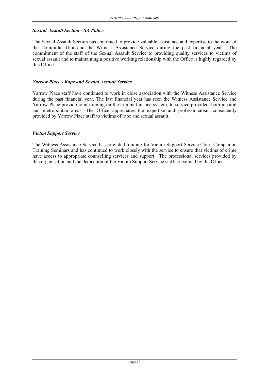# *Sexual Assault Section - SA Police*

The Sexual Assault Section has continued to provide valuable assistance and expertise to the work of the Committal Unit and the Witness Assistance Service during the past financial year. The commitment of the staff of the Sexual Assault Service to providing quality services to victims of sexual assault and to maintaining a positive working relationship with the Office is highly regarded by this Office.

# *Yarrow Place - Rape and Sexual Assault Service*

Yarrow Place staff have continued to work in close association with the Witness Assistance Service during the past financial year. The last financial year has seen the Witness Assistance Service and Yarrow Place provide joint training on the criminal justice system, to service providers both in rural and metropolitan areas. The Office appreciates the expertise and professionalism consistently provided by Yarrow Place staff to victims of rape and sexual assault.

# *Victim Support Service*

The Witness Assistance Service has provided training for Victim Support Service Court Companion Training Seminars and has continued to work closely with the service to ensure that victims of crime have access to appropriate counselling services and support. The professional services provided by this organisation and the dedication of the Victim Support Service staff are valued by the Office.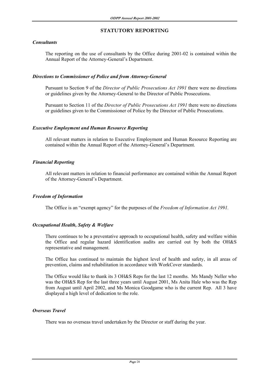# **STATUTORY REPORTING**

# *Consultants*

 The reporting on the use of consultants by the Office during 2001-02 is contained within the Annual Report of the Attorney-General's Department.

# *Directions to Commissioner of Police and from Attorney-General*

 Pursuant to Section 9 of the *Director of Public Prosecutions Act 1991* there were no directions or guidelines given by the Attorney-General to the Director of Public Prosecutions.

 Pursuant to Section 11 of the *Director of Public Prosecutions Act 1991* there were no directions or guidelines given to the Commissioner of Police by the Director of Public Prosecutions.

# *Executive Employment and Human Resource Reporting*

 All relevant matters in relation to Executive Employment and Human Resource Reporting are contained within the Annual Report of the Attorney-General's Department.

# *Financial Reporting*

 All relevant matters in relation to financial performance are contained within the Annual Report of the Attorney-General's Department.

# *Freedom of Information*

The Office is an "exempt agency" for the purposes of the *Freedom of Information Act 1991.* 

# *Occupational Health, Safety & Welfare*

 There continues to be a preventative approach to occupational health, safety and welfare within the Office and regular hazard identification audits are carried out by both the OH&S representative and management.

 The Office has continued to maintain the highest level of health and safety, in all areas of prevention, claims and rehabilitation in accordance with WorkCover standards.

 The Office would like to thank its 3 OH&S Reps for the last 12 months. Ms Mandy Neller who was the OH&S Rep for the last three years until August 2001, Ms Anita Hale who was the Rep from August until April 2002, and Ms Monica Goodgame who is the current Rep. All 3 have displayed a high level of dedication to the role.

# *Overseas Travel*

There was no overseas travel undertaken by the Director or staff during the year.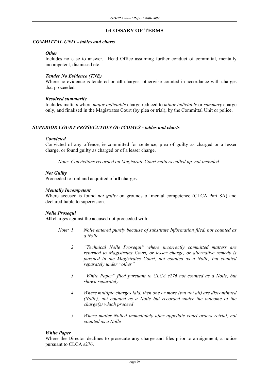# **GLOSSARY OF TERMS**

#### *COMMITTAL UNIT - tables and charts*

#### *Other*

Includes no case to answer. Head Office assuming further conduct of committal, mentally incompetent, dismissed etc.

# *Tender No Evidence (TNE)*

Where no evidence is tendered on **all** charges, otherwise counted in accordance with charges that proceeded.

## *Resolved summarily*

 Includes matters where *major indictable* charge reduced to *minor indictable* or *summary* charge only, and finalised in the Magistrates Court (by plea or trial), by the Committal Unit or police.

# *SUPERIOR COURT PROSECUTION OUTCOMES - tables and charts*

## *Convicted*

 Convicted of any offence, ie committed for sentence, plea of guilty as charged or a lesser charge, or found guilty as charged or of a lesser charge.

*Note: Convictions recorded on Magistrate Court matters called up, not included*

# *Not Guilty*

Proceeded to trial and acquitted of **all** charges.

# *Mentally Incompetent*

 Where accused is found *not guilty* on grounds of mental competence (CLCA Part 8A) and declared liable to supervision.

## *Nolle Prosequi*

**All** charges against the accused not proceeded with.

- *Note: 1 Nolle entered purely because of substitute Information filed, not counted as a Nolle* 
	- *2 "Technical Nolle Prosequi" where incorrectly committed matters are returned to Magistrates Court, or lesser charge, or alternative remedy is pursued in the Magistrates Court, not counted as a Nolle, but counted separately under "other"*
	- *3 "White Paper" filed pursuant to CLCA s276 not counted as a Nolle, but shown separately*
	- *4 Where multiple charges laid, then one or more (but not all) are discontinued (Nolle), not counted as a Nolle but recorded under the outcome of the charge(s) which proceed*
	- *5 Where matter Nolled immediately after appellate court orders retrial, not counted as a Nolle*

## *White Paper*

 Where the Director declines to prosecute **any** charge and files prior to arraignment, a notice pursuant to CLCA s276.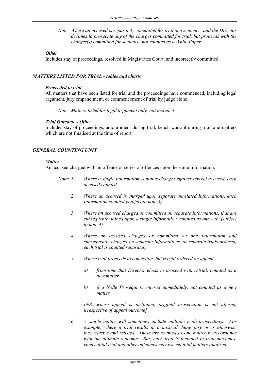*Note: Where an accused is separately committed for trial and sentence, and the Director declines to prosecute any of the charges committed for trial, but proceeds with the charges(s) committed for sentence, not counted as a White Paper* 

## *Other*

Includes stay of proceedings, resolved in Magistrates Court, and incorrectly committed.

# *MATTERS LISTED FOR TRIAL - tables and charts*

#### *Proceeded to trial*

All matters that have been listed for trial and the proceedings have commenced, including legal argument, jury empanelment, or commencement of trial by judge alone.

*Note: Matters listed for legal argument only, not included* 

## *Trial Outcome - Other*

Includes stay of proceedings, adjournment during trial, bench warrant during trial, and matters which are not finalised at the time of report.

# *GENERAL COUNTING UNIT*

#### *Matter*

An accused charged with an offence or series of offences upon the same Information.

- *Note: 1 Where a single Information contains charges against several accused, each accused counted* 
	- *2 Where an accused is charged upon separate unrelated Informations, each Information counted (subject to note 3)*
	- *3 Where an accused charged or committed on separate Informations, that are subsequently joined upon a single Information, counted as one only (subject to note 4)*
	- *4 Where an accused charged or committed on one Information and subsequently charged on separate Informations, or separate trials ordered, each trial is counted separately*
	- *5 Where trial proceeds to conviction, but retrial ordered on appeal:* 
		- *a) from time that Director elects to proceed with retrial, counted as a new matter*
		- *b) if a Nolle Prosequi is entered immediately, not counted as a new matter*

 *[NB: where appeal is instituted, original prosecution is not altered, irrespective of appeal outcome]* 

 *6 A single matter will sometimes include multiple trials/proceedings. For example, where a trial results in a mistrial, hung jury or is otherwise inconclusive and relisted. These are counted as one matter in accordance with the ultimate outcome. But, each trial is included in trial outcomes. Hence total trial and other outcomes may exceed total matters finalised.*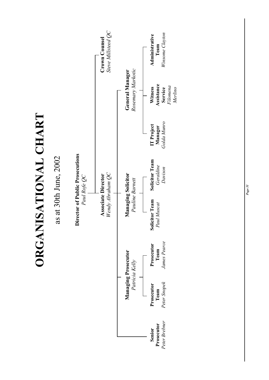**ORGANISATIONAL CHART**  ORGANISATIONAL CHART

as at 30th June, 2002 as at 30th June, 2002

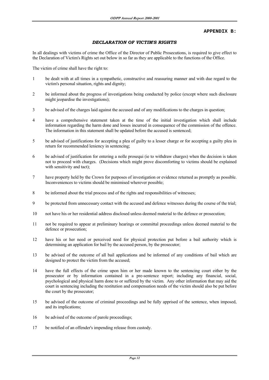#### **APPENDIX B:**

#### *DECLARATION OF VICTIM'S RIGHTS*

In all dealings with victims of crime the Office of the Director of Public Prosecutions, is required to give effect to the Declaration of Victim's Rights set out below in so far as they are applicable to the functions of the Office.

The victim of crime shall have the right to:

- 1 be dealt with at all times in a sympathetic, constructive and reassuring manner and with due regard to the victim's personal situation, rights and dignity;
- 2 be informed about the progress of investigations being conducted by police (except where such disclosure might jeopardise the investigations);
- 3 be advised of the charges laid against the accused and of any modifications to the charges in question;
- 4 have a comprehensive statement taken at the time of the initial investigation which shall include information regarding the harm done and losses incurred in consequence of the commission of the offence. The information in this statement shall be updated before the accused is sentenced;
- 5 be advised of justifications for accepting a plea of guilty to a lesser charge or for accepting a guilty plea in return for recommended leniency in sentencing;
- 6 be advised of justification for entering a nolle prosequi (ie to withdraw charges) when the decision is taken not to proceed with charges. (Decisions which might prove discomforting to victims should be explained with sensitivity and tact);
- 7 have property held by the Crown for purposes of investigation or evidence returned as promptly as possible. Inconveniences to victims should be minimised wherever possible;
- 8 be informed about the trial process and of the rights and responsibilities of witnesses;
- 9 be protected from unnecessary contact with the accused and defence witnesses during the course of the trial;
- 10 not have his or her residential address disclosed unless deemed material to the defence or prosecution;
- 11 not be required to appear at preliminary hearings or committal proceedings unless deemed material to the defence or prosecution;
- 12 have his or her need or perceived need for physical protection put before a bail authority which is determining an application for bail by the accused person, by the prosecutor;
- 13 be advised of the outcome of all bail applications and be informed of any conditions of bail which are designed to protect the victim from the accused;
- 14 have the full effects of the crime upon him or her made known to the sentencing court either by the prosecutor or by information contained in a pre-sentence report; including any financial, social, psychological and physical harm done to or suffered by the victim. Any other information that may aid the court in sentencing including the restitution and compensation needs of the victim should also be put before the court by the prosecutor;
- 15 be advised of the outcome of criminal proceedings and be fully apprised of the sentence, when imposed, and its implications;
- 16 be advised of the outcome of parole proceedings;
- 17 be notified of an offender's impending release from custody.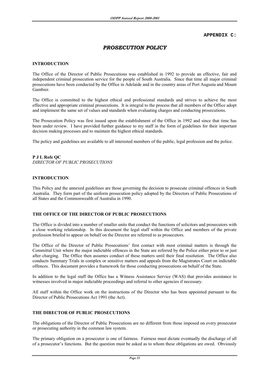#### **APPENDIX C:**

# *PROSECUTION POLICY*

#### **INTRODUCTION**

The Office of the Director of Public Prosecutions was established in 1992 to provide an effective, fair and independent criminal prosecution service for the people of South Australia. Since that time all major criminal prosecutions have been conducted by the Office in Adelaide and in the country areas of Port Augusta and Mount Gambier.

The Office is committed to the highest ethical and professional standards and strives to achieve the most effective and appropriate criminal prosecutions. It is integral to the process that all members of the Office adopt and implement the same set of values and standards when evaluating charges and conducting prosecutions.

The Prosecution Policy was first issued upon the establishment of the Office in 1992 and since that time has been under review. I have provided further guidance to my staff in the form of guidelines for their important decision making processes and to maintain the highest ethical standards.

The policy and guidelines are available to all interested members of the public, legal profession and the police.

# **P J L Rofe QC** *DIRECTOR OF PUBLIC PROSECUTIONS*

#### **INTRODUCTION**

This Policy and the annexed guidelines are those governing the decision to prosecute criminal offences in South Australia. They form part of the uniform prosecution policy adopted by the Directors of Public Prosecutions of all States and the Commonwealth of Australia in 1990.

#### **THE OFFICE OF THE DIRECTOR OF PUBLIC PROSECUTIONS**

The Office is divided into a number of smaller units that conduct the functions of solicitors and prosecutors with a close working relationship. In this document the legal staff within the Office and members of the private profession briefed to appear on behalf on the Director are referred to as prosecutors.

The Office of the Director of Public Prosecutions' first contact with most criminal matters is through the Committal Unit where the major indictable offences in the State are referred by the Police either prior to or just after charging. The Office then assumes conduct of these matters until their final resolution. The Office also conducts Summary Trials in complex or sensitive matters and appeals from the Magistrates Court on indictable offences. This document provides a framework for those conducting prosecutions on behalf of the State.

In addition to the legal staff the Office has a Witness Assistance Service (WAS) that provides assistance to witnesses involved in major indictable proceedings and referral to other agencies if necessary.

All staff within the Office work on the instructions of the Director who has been appointed pursuant to the Director of Public Prosecutions Act 1991 (the Act).

#### **THE DIRECTOR OF PUBLIC PROSECUTIONS**

The obligations of the Director of Public Prosecutions are no different from those imposed on every prosecutor or prosecuting authority in the common law system.

The primary obligation on a prosecutor is one of fairness. Fairness must dictate eventually the discharge of all of a prosecutor's functions. But the question must be asked as to whom these obligations are owed. Obviously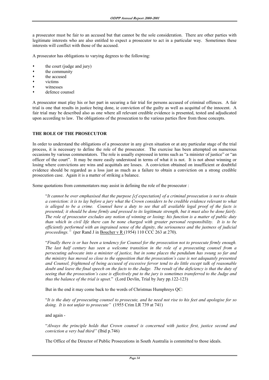a prosecutor must be fair to an accused but that cannot be the sole consideration. There are other parties with legitimate interests who are also entitled to expect a prosecutor to act in a particular way. Sometimes these interests will conflict with those of the accused.

A prosecutor has obligations to varying degrees to the following:

- the court (judge and jury)
- the community
- the accused
- victims
- witnesses
- defence counsel

A prosecutor must play his or her part in securing a fair trial for persons accused of criminal offences. A fair trial is one that results in justice being done, ie conviction of the guilty as well as acquittal of the innocent. A fair trial may be described also as one where all relevant credible evidence is presented, tested and adjudicated upon according to law. The obligations of the prosecution to the various parties flow from those concepts.

## **THE ROLE OF THE PROSECUTOR**

In order to understand the obligations of a prosecutor in any given situation or at any particular stage of the trial process, it is necessary to define the role of the prosecutor. The exercise has been attempted on numerous occasions by various commentators. The role is usually expressed in terms such as "a minister of justice" or "an officer of the court". It may be more easily understood in terms of what it is not. It is not about winning or losing where convictions are wins and acquittals are losses. A conviction obtained on insufficient or doubtful evidence should be regarded as a loss just as much as a failure to obtain a conviction on a strong credible prosecution case. Again it is a matter of striking a balance.

Some quotations from commentators may assist in defining the role of the prosecutor :

 "*It cannot be over emphasised that the purpose [cf expectation] of a criminal prosecution is not to obtain a conviction: it is to lay before a jury what the Crown considers to be credible evidence relevant to what is alleged to be a crime. Counsel have a duty to see that all available legal proof of the facts is presented; it should be done firmly and pressed to its legitimate strength, but it must also be done fairly. The role of prosecutor excludes any notion of winning or losing: his function is a matter of public duty than which in civil life there can be none charged with greater personal responsibility. It is to be efficiently performed with an ingrained sense of the dignity, the seriousness and the justness of judicial proceedings."* (per Rand J in Boucher v R (1954) 110 CCC 263 at 270).

 "*Finally there is or has been a tendency for Counsel for the prosecution not to prosecute firmly enough. The last half century has seen a welcome transition in the role of a prosecuting counsel from a persecuting advocate into a minister of justice, but in some places the pendulum has swung so far and the ministry has moved so close to the opposition that the prosecution's case is not adequately presented and Counsel, frightened of being accused of excessive fervor tend to do little except talk of reasonable doubt and leave the final speech on the facts to the Judge. The result of the deficiency is that the duty of seeing that the prosecution's case is effectively put to the jury is sometimes transferred to the Judge and thus the balance of the trial is upset*." (Lord Devlin, Trial by Jury pp.122-123)

But in the end it may come back to the words of Christmas Humphreys QC:

 "*It is the duty of prosecuting counsel to prosecute, and he need not rise to his feet and apologise for so doing. It is not unfair to prosecute"* (1955 Crim LR 739 at 741)

## and again -

 "*Always the principle holds that Crown counsel is concerned with justice first, justice second and conviction a very bad third"* (Ibid p.746)

The Office of the Director of Public Prosecutions in South Australia is committed to those ideals.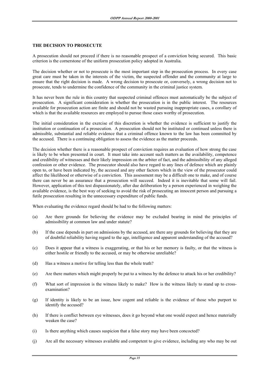#### **THE DECISION TO PROSECUTE**

A prosecution should not proceed if there is no reasonable prospect of a conviction being secured. This basic criterion is the cornerstone of the uniform prosecution policy adopted in Australia.

The decision whether or not to prosecute is the most important step in the prosecution process. In every case great care must be taken in the interests of the victim, the suspected offender and the community at large to ensure that the right decision is made. A wrong decision to prosecute or, conversely, a wrong decision not to prosecute, tends to undermine the confidence of the community in the criminal justice system.

It has never been the rule in this country that suspected criminal offences must automatically be the subject of prosecution. A significant consideration is whether the prosecution is in the public interest. The resources available for prosecution action are finite and should not be wasted pursuing inappropriate cases, a corollary of which is that the available resources are employed to pursue those cases worthy of prosecution.

The initial consideration in the exercise of this discretion is whether the evidence is sufficient to justify the institution or continuation of a prosecution. A prosecution should not be instituted or continued unless there is admissible, substantial and reliable evidence that a criminal offence known to the law has been committed by the accused. There is a continuing obligation to assess the evidence as the matter proceeds.

The decision whether there is a reasonable prospect of conviction requires an evaluation of how strong the case is likely to be when presented in court. It must take into account such matters as the availability, competence and credibility of witnesses and their likely impression on the arbiter of fact, and the admissibility of any alleged confession or other evidence. The prosecutor should also have regard to any lines of defence which are plainly open to, or have been indicated by, the accused and any other factors which in the view of the prosecutor could affect the likelihood or otherwise of a conviction. This assessment may be a difficult one to make, and of course there can never be an assurance that a prosecution will succeed. Indeed it is inevitable that some will fail. However, application of this test dispassionately, after due deliberation by a person experienced in weighing the available evidence, is the best way of seeking to avoid the risk of prosecuting an innocent person and pursuing a futile prosecution resulting in the unnecessary expenditure of public funds.

When evaluating the evidence regard should be had to the following matters:

- (a) Are there grounds for believing the evidence may be excluded bearing in mind the principles of admissibility at common law and under statute?
- (b) If the case depends in part on admissions by the accused, are there any grounds for believing that they are of doubtful reliability having regard to the age, intelligence and apparent understanding of the accused?
- (c) Does it appear that a witness is exaggerating, or that his or her memory is faulty, or that the witness is either hostile or friendly to the accused, or may be otherwise unreliable?
- (d) Has a witness a motive for telling less than the whole truth?
- (e) Are there matters which might properly be put to a witness by the defence to attack his or her credibility?
- (f) What sort of impression is the witness likely to make? How is the witness likely to stand up to crossexamination?
- (g) If identity is likely to be an issue, how cogent and reliable is the evidence of those who purport to identify the accused?
- (h) If there is conflict between eye witnesses, does it go beyond what one would expect and hence materially weaken the case?
- (i) Is there anything which causes suspicion that a false story may have been concocted?
- (j) Are all the necessary witnesses available and competent to give evidence, including any who may be out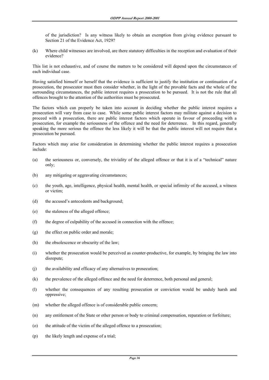of the jurisdiction? Is any witness likely to obtain an exemption from giving evidence pursuant to Section 21 of the Evidence Act, 1929?

(k) Where child witnesses are involved, are there statutory difficulties in the reception and evaluation of their evidence?

This list is not exhaustive, and of course the matters to be considered will depend upon the circumstances of each individual case.

Having satisfied himself or herself that the evidence is sufficient to justify the institution or continuation of a prosecution, the prosecutor must then consider whether, in the light of the provable facts and the whole of the surrounding circumstances, the public interest requires a prosecution to be pursued. It is not the rule that all offences brought to the attention of the authorities must be prosecuted.

The factors which can properly be taken into account in deciding whether the public interest requires a prosecution will vary from case to case. While some public interest factors may militate against a decision to proceed with a prosecution, there are public interest factors which operate in favour of proceeding with a prosecution, for example the seriousness of the offence and the need for deterrence. In this regard, generally speaking the more serious the offence the less likely it will be that the public interest will not require that a prosecution be pursued.

Factors which may arise for consideration in determining whether the public interest requires a prosecution include:

- (a) the seriousness or, conversely, the triviality of the alleged offence or that it is of a "technical" nature only;
- (b) any mitigating or aggravating circumstances;
- (c) the youth, age, intelligence, physical health, mental health, or special infirmity of the accused, a witness or victim;
- (d) the accused's antecedents and background;
- (e) the staleness of the alleged offence;
- (f) the degree of culpability of the accused in connection with the offence;
- (g) the effect on public order and morale;
- (h) the obsolescence or obscurity of the law;
- (i) whether the prosecution would be perceived as counter-productive, for example, by bringing the law into disrepute;
- (j) the availability and efficacy of any alternatives to prosecution;
- (k) the prevalence of the alleged offence and the need for deterrence, both personal and general;
- (l) whether the consequences of any resulting prosecution or conviction would be unduly harsh and oppressive;
- (m) whether the alleged offence is of considerable public concern;
- (n) any entitlement of the State or other person or body to criminal compensation, reparation or forfeiture;
- (o) the attitude of the victim of the alleged offence to a prosecution;
- (p) the likely length and expense of a trial;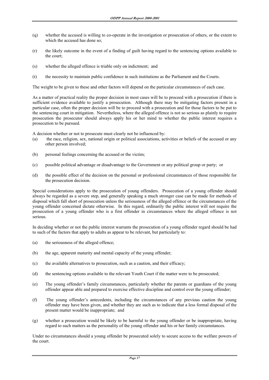- (q) whether the accused is willing to co-operate in the investigation or prosecution of others, or the extent to which the accused has done so;
- (r) the likely outcome in the event of a finding of guilt having regard to the sentencing options available to the court;
- (s) whether the alleged offence is triable only on indictment; and
- (t) the necessity to maintain public confidence in such institutions as the Parliament and the Courts.

The weight to be given to these and other factors will depend on the particular circumstances of each case.

As a matter of practical reality the proper decision in most cases will be to proceed with a prosecution if there is sufficient evidence available to justify a prosecution. Although there may be mitigating factors present in a particular case, often the proper decision will be to proceed with a prosecution and for those factors to be put to the sentencing court in mitigation. Nevertheless, where the alleged offence is not so serious as plainly to require prosecution the prosecutor should always apply his or her mind to whether the public interest requires a prosecution to be pursued.

A decision whether or not to prosecute must clearly not be influenced by:

- (a) the race, religion, sex, national origin or political associations, activities or beliefs of the accused or any other person involved;
- (b) personal feelings concerning the accused or the victim;
- (c) possible political advantage or disadvantage to the Government or any political group or party; or
- (d) the possible effect of the decision on the personal or professional circumstances of those responsible for the prosecution decision.

Special considerations apply to the prosecution of young offenders. Prosecution of a young offender should always be regarded as a severe step, and generally speaking a much stronger case can be made for methods of disposal which fall short of prosecution unless the seriousness of the alleged offence or the circumstances of the young offender concerned dictate otherwise. In this regard, ordinarily the public interest will not require the prosecution of a young offender who is a first offender in circumstances where the alleged offence is not serious.

In deciding whether or not the public interest warrants the prosecution of a young offender regard should be had to such of the factors that apply to adults as appear to be relevant, but particularly to:

- (a) the seriousness of the alleged offence;
- (b) the age, apparent maturity and mental capacity of the young offender;
- (c) the available alternatives to prosecution, such as a caution, and their efficacy;
- (d) the sentencing options available to the relevant Youth Court if the matter were to be prosecuted;
- (e) The young offender's family circumstances, particularly whether the parents or guardians of the young offender appear able and prepared to exercise effective discipline and control over the young offender;
- (f) The young offender's antecedents, including the circumstances of any previous caution the young offender may have been given, and whether they are such as to indicate that a less formal disposal of the present matter would be inappropriate; and
- (g) whether a prosecution would be likely to be harmful to the young offender or be inappropriate, having regard to such matters as the personality of the young offender and his or her family circumstances.

Under no circumstances should a young offender be prosecuted solely to secure access to the welfare powers of the court.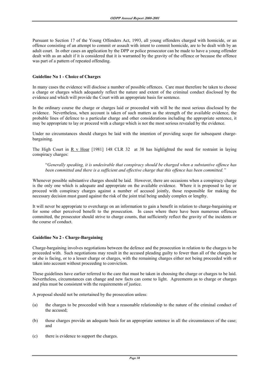Pursuant to Section 17 of the Young Offenders Act, 1993, all young offenders charged with homicide, or an offence consisting of an attempt to commit or assault with intent to commit homicide, are to be dealt with by an adult court. In other cases an application by the DPP or police prosecutor can be made to have a young offender dealt with as an adult if it is considered that it is warranted by the gravity of the offence or because the offence was part of a pattern of repeated offending.

#### **Guideline No 1 - Choice of Charges**

In many cases the evidence will disclose a number of possible offences. Care must therefore be taken to choose a charge or charges which adequately reflect the nature and extent of the criminal conduct disclosed by the evidence and which will provide the Court with an appropriate basis for sentence.

In the ordinary course the charge or charges laid or proceeded with will be the most serious disclosed by the evidence. Nevertheless, when account is taken of such matters as the strength of the available evidence, the probable lines of defence to a particular charge and other considerations including the appropriate sentence, it may be appropriate to lay or proceed with a charge which is not the most serious revealed by the evidence.

Under no circumstances should charges be laid with the intention of providing scope for subsequent chargebargaining.

The High Court in R v Hoar [1981] 148 CLR 32 at 38 has highlighted the need for restraint in laying conspiracy charges:

 "*Generally speaking, it is undesirable that conspiracy should be charged when a substantive offence has been committed and there is a sufficient and effective charge that this offence has been committed."*

Whenever possible substantive charges should be laid. However, there are occasions when a conspiracy charge is the only one which is adequate and appropriate on the available evidence. Where it is proposed to lay or proceed with conspiracy charges against a number of accused jointly, those responsible for making the necessary decision must guard against the risk of the joint trial being unduly complex or lengthy.

It will never be appropriate to overcharge on an information to gain a benefit in relation to charge-bargaining or for some other perceived benefit to the prosecution. In cases where there have been numerous offences committed, the prosecutor should strive to charge counts, that sufficiently reflect the gravity of the incidents or the course of conduct.

#### **Guideline No 2 - Charge-Bargaining**

Charge-bargaining involves negotiations between the defence and the prosecution in relation to the charges to be proceeded with. Such negotiations may result in the accused pleading guilty to fewer than all of the charges he or she is facing, or to a lesser charge or charges, with the remaining charges either not being proceeded with or taken into account without proceeding to conviction.

These guidelines have earlier referred to the care that must be taken in choosing the charge or charges to be laid. Nevertheless, circumstances can change and new facts can come to light. Agreements as to charge or charges and plea must be consistent with the requirements of justice.

A proposal should not be entertained by the prosecution unless:

- (a) the charges to be proceeded with bear a reasonable relationship to the nature of the criminal conduct of the accused;
- (b) those charges provide an adequate basis for an appropriate sentence in all the circumstances of the case; and
- (c) there is evidence to support the charges.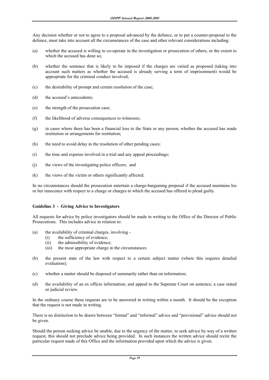Any decision whether or not to agree to a proposal advanced by the defence, or to put a counter-proposal to the defence, must take into account all the circumstances of the case and other relevant considerations including:

- (a) whether the accused is willing to co-operate in the investigation or prosecution of others, or the extent to which the accused has done so;
- (b) whether the sentence that is likely to be imposed if the charges are varied as proposed (taking into account such matters as whether the accused is already serving a term of imprisonment) would be appropriate for the criminal conduct involved;
- (c) the desirability of prompt and certain resolution of the case;
- (d) the accused's antecedents;
- (e) the strength of the prosecution case;
- (f) the likelihood of adverse consequences to witnesses;
- (g) in cases where there has been a financial loss to the State or any person, whether the accused has made restitution or arrangements for restitution;
- (h) the need to avoid delay in the resolution of other pending cases;
- (i) the time and expense involved in a trial and any appeal proceedings;
- (j) the views of the investigating police officers; and
- (k) the views of the victim or others significantly affected.

In no circumstances should the prosecution entertain a charge-bargaining proposal if the accused maintains his or her innocence with respect to a charge or charges to which the accused has offered to plead guilty.

#### **Guideline 3 - Giving Advice to Investigators**

All requests for advice by police investigators should be made in writing to the Office of the Director of Public Prosecutions. This includes advice in relation to:

- (a) the availability of criminal charges, involving
	- (i) the sufficiency of evidence;
	- (ii) the admissibility of evidence;
	- (iii) the most appropriate charge in the circumstances
- (b) the present state of the law with respect to a certain subject matter (where this requires detailed evaluation);
- (c) whether a matter should be disposed of summarily rather than on information;
- (d) the availability of an ex officio information; and appeal to the Supreme Court on sentence; a case stated or judicial review.

In the ordinary course these requests are to be answered in writing within a month. It should be the exception that the request is not made in writing.

There is no distinction to be drawn between "formal" and "informal" advice and "provisional" advice should not be given.

Should the person seeking advice be unable, due to the urgency of the matter, to seek advice by way of a written request, this should not preclude advice being provided. In such instances the written advice should recite the particular request made of this Office and the information provided upon which the advice is given.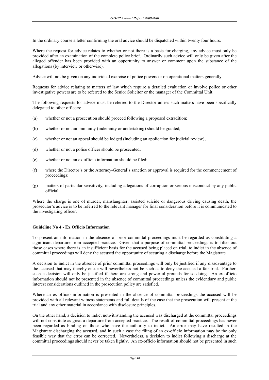In the ordinary course a letter confirming the oral advice should be dispatched within twenty four hours.

Where the request for advice relates to whether or not there is a basis for charging, any advice must only be provided after an examination of the complete police brief. Ordinarily such advice will only be given after the alleged offender has been provided with an opportunity to answer or comment upon the substance of the allegations (by interview or otherwise).

Advice will not be given on any individual exercise of police powers or on operational matters generally.

Requests for advice relating to matters of law which require a detailed evaluation or involve police or other investigative powers are to be referred to the Senior Solicitor or the manager of the Committal Unit.

The following requests for advice must be referred to the Director unless such matters have been specifically delegated to other officers:

- (a) whether or not a prosecution should proceed following a proposed extradition;
- (b) whether or not an immunity (indemnity or undertaking) should be granted;
- (c) whether or not an appeal should be lodged (including an application for judicial review);
- (d) whether or not a police officer should be prosecuted;
- (e) whether or not an ex officio information should be filed;
- (f) where the Director's or the Attorney-General's sanction or approval is required for the commencement of proceedings;
- (g) matters of particular sensitivity, including allegations of corruption or serious misconduct by any public official.

Where the charge is one of murder, manslaughter, assisted suicide or dangerous driving causing death, the prosecutor's advice is to be referred to the relevant manager for final consideration before it is communicated to the investigating officer.

#### **Guideline No 4 - Ex Officio Information**

To present an information in the absence of prior committal proceedings must be regarded as constituting a significant departure from accepted practice. Given that a purpose of committal proceedings is to filter out those cases where there is an insufficient basis for the accused being placed on trial, to indict in the absence of committal proceedings will deny the accused the opportunity of securing a discharge before the Magistrate.

A decision to indict in the absence of prior committal proceedings will only be justified if any disadvantage to the accused that may thereby ensue will nevertheless not be such as to deny the accused a fair trial. Further, such a decision will only be justified if there are strong and powerful grounds for so doing. An ex-officio information should not be presented in the absence of committal proceedings unless the evidentiary and public interest considerations outlined in the prosecution policy are satisfied.

Where an ex-officio information is presented in the absence of committal proceedings the accused will be provided with all relevant witness statements and full details of the case that the prosecution will present at the trial and any other material in accordance with disclosure principles.

On the other hand, a decision to indict notwithstanding the accused was discharged at the committal proceedings will not constitute as great a departure from accepted practice. The result of committal proceedings has never been regarded as binding on those who have the authority to indict. An error may have resulted in the Magistrate discharging the accused, and in such a case the filing of an ex-officio information may be the only feasible way that the error can be corrected. Nevertheless, a decision to indict following a discharge at the committal proceedings should never be taken lightly. An ex-officio information should not be presented in such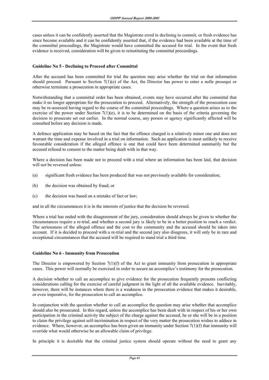cases unless it can be confidently asserted that the Magistrate erred in declining to commit, or fresh evidence has since become available and it can be confidently asserted that, if the evidence had been available at the time of the committal proceedings, the Magistrate would have committed the accused for trial. In the event that fresh evidence is received, consideration will be given to reinstituting the committal proceedings.

#### **Guideline No 5 - Declining to Proceed after Committal**

After the accused has been committed for trial the question may arise whether the trial on that information should proceed. Pursuant to Section 7(1)(e) of the Act, the Director has power to enter a nolle prosequi or otherwise terminate a prosecution in appropriate cases.

Notwithstanding that a committal order has been obtained, events may have occurred after the committal that make it no longer appropriate for the prosecution to proceed. Alternatively, the strength of the prosecution case may be re-assessed having regard to the course of the committal proceedings. Where a question arises as to the exercise of the power under Section 7(1)(e), it is to be determined on the basis of the criteria governing the decision to prosecute set out earlier. In the normal course, any person or agency significantly affected will be consulted before any decision is made.

A defence application may be based on the fact that the offence charged is a relatively minor one and does not warrant the time and expense involved in a trial on information. Such an application is most unlikely to receive favourable consideration if the alleged offence is one that could have been determined summarily but the accused refused to consent to the matter being dealt with in that way.

Where a decision has been made not to proceed with a trial where an information has been laid, that decision will not be reversed unless:

- (a) significant fresh evidence has been produced that was not previously available for consideration;
- (b) the decision was obtained by fraud; or
- (c) the decision was based on a mistake of fact or law;

and in all the circumstances it is in the interests of justice that the decision be reversed.

Where a trial has ended with the disagreement of the jury, consideration should always be given to whether the circumstances require a re-trial, and whether a second jury is likely to be in a better position to reach a verdict. The seriousness of the alleged offence and the cost to the community and the accused should be taken into account. If it is decided to proceed with a re-trial and the second jury also disagrees, it will only be in rare and exceptional circumstances that the accused will be required to stand trial a third time.

#### **Guideline No 6 - Immunity from Prosecution**

The Director is empowered by Section  $7(1)(f)$  of the Act to grant immunity from prosecution in appropriate cases. This power will normally be exercised in order to secure an accomplice's testimony for the prosecution.

A decision whether to call an accomplice to give evidence for the prosecution frequently presents conflicting considerations calling for the exercise of careful judgment in the light of all the available evidence. Inevitably, however, there will be instances where there is a weakness in the prosecution evidence that makes it desirable, or even imperative, for the prosecution to call an accomplice.

In conjunction with the question whether to call an accomplice the question may arise whether that accomplice should also be prosecuted. In this regard, unless the accomplice has been dealt with in respect of his or her own participation in the criminal activity the subject of the charge against the accused, he or she will be in a position to claim the privilege against self-incrimination in respect of the very matter the prosecution wishes to adduce in evidence. Where, however, an accomplice has been given an immunity under Section 7(1)(f) that immunity will override what would otherwise be an allowable claim of privilege.

In principle it is desirable that the criminal justice system should operate without the need to grant any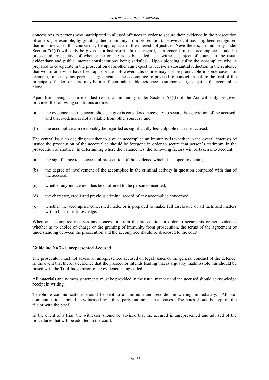concessions to persons who participated in alleged offences in order to secure their evidence in the prosecution of others (for example, by granting them immunity from prosecution). However, it has long been recognised that in some cases this course may be appropriate in the interests of justice. Nevertheless, an immunity under Section 7(1)(f) will only be given as a last resort. In this regard, as a general rule an accomplice should be prosecuted irrespective of whether he or she is to be called as a witness, subject of course to the usual evidentiary and public interest considerations being satisfied. Upon pleading guilty the accomplice who is prepared to co-operate in the prosecution of another can expect to receive a substantial reduction in the sentence that would otherwise have been appropriate. However, this course may not be practicable in some cases; for example, time may not permit charges against the accomplice to proceed to conviction before the trial of the principal offender, or there may be insufficient admissible evidence to support charges against the accomplice alone.

Apart from being a course of last resort, an immunity under Section 7(1)(f) of the Act will only be given provided the following conditions are met:

- (a) the evidence that the accomplice can give is considered necessary to secure the conviction of the accused, and that evidence is not available from other sources; and
- (b) the accomplice can reasonably be regarded as significantly less culpable than the accused.

The central issue in deciding whether to give an accomplice an immunity is whether in the overall interests of justice the prosecution of the accomplice should be foregone in order to secure that person's testimony in the prosecution of another. In determining where the balance lies, the following factors will be taken into account:

- (a) the significance to a successful prosecution of the evidence which it is hoped to obtain;
- (b) the degree of involvement of the accomplice in the criminal activity in question compared with that of the accused;
- (c) whether any inducement has been offered to the person concerned;
- (d) the character, credit and previous criminal record of any accomplice concerned;
- (e) whether the accomplice concerned made, or is prepared to make, full disclosure of all facts and matters within his or her knowledge.

When an accomplice receives any concession from the prosecution in order to secure his or her evidence, whether as to choice of charge or the granting of immunity from prosecution, the terms of the agreement or understanding between the prosecution and the accomplice should be disclosed to the court.

#### **Guideline No 7 - Unrepresented Accused**

The prosecutor must not advise an unrepresented accused on legal issues or the general conduct of the defence. In the event that there is evidence that the prosecutor intends leading that is arguably inadmissible this should be raised with the Trial Judge prior to the evidence being called.

All materials and witness statements must be provided in the usual manner and the accused should acknowledge receipt in writing.

Telephone communications should be kept to a minimum and recorded in writing immediately. All oral communications should be witnessed by a third party and noted in all cases. The notes should be kept on the file or with the brief.

In the event of a trial, the witnesses should be advised that the accused is unrepresented and advised of the procedures that will be adopted in the court.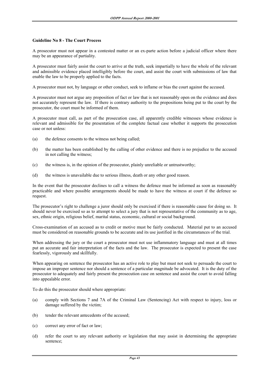#### **Guideline No 8 - The Court Process**

A prosecutor must not appear in a contested matter or an ex-parte action before a judicial officer where there may be an appearance of partiality.

A prosecutor must fairly assist the court to arrive at the truth, seek impartially to have the whole of the relevant and admissible evidence placed intelligibly before the court, and assist the court with submissions of law that enable the law to be properly applied to the facts.

A prosecutor must not, by language or other conduct, seek to inflame or bias the court against the accused.

A prosecutor must not argue any proposition of fact or law that is not reasonably open on the evidence and does not accurately represent the law. If there is contrary authority to the propositions being put to the court by the prosecutor, the court must be informed of them.

A prosecutor must call, as part of the prosecution case, all apparently credible witnesses whose evidence is relevant and admissible for the presentation of the complete factual case whether it supports the prosecution case or not unless:

- (a) the defence consents to the witness not being called;
- (b) the matter has been established by the calling of other evidence and there is no prejudice to the accused in not calling the witness;
- (c) the witness is, in the opinion of the prosecutor, plainly unreliable or untrustworthy;
- (d) the witness is unavailable due to serious illness, death or any other good reason.

In the event that the prosecutor declines to call a witness the defence must be informed as soon as reasonably practicable and where possible arrangements should be made to have the witness at court if the defence so request.

The prosecutor's right to challenge a juror should only be exercised if there is reasonable cause for doing so. It should never be exercised so as to attempt to select a jury that is not representative of the community as to age, sex, ethnic origin, religious belief, marital status, economic, cultural or social background.

Cross-examination of an accused as to credit or motive must be fairly conducted. Material put to an accused must be considered on reasonable grounds to be accurate and its use justified in the circumstances of the trial.

When addressing the jury or the court a prosecutor must not use inflammatory language and must at all times put an accurate and fair interpretation of the facts and the law. The prosecutor is expected to present the case fearlessly, vigorously and skillfully.

When appearing on sentence the prosecutor has an active role to play but must not seek to persuade the court to impose an improper sentence nor should a sentence of a particular magnitude be advocated. It is the duty of the prosecutor to adequately and fairly present the prosecution case on sentence and assist the court to avoid falling into appealable error.

To do this the prosecutor should where appropriate:

- (a) comply with Sections 7 and 7A of the Criminal Law (Sentencing) Act with respect to injury, loss or damage suffered by the victim;
- (b) tender the relevant antecedents of the accused;
- (c) correct any error of fact or law;
- (d) refer the court to any relevant authority or legislation that may assist in determining the appropriate sentence;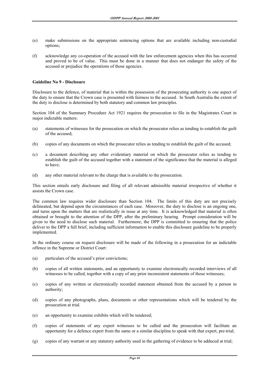- (e) make submissions on the appropriate sentencing options that are available including non-custodial options;
- (f) acknowledge any co-operation of the accused with the law enforcement agencies when this has occurred and proved to be of value. This must be done in a manner that does not endanger the safety of the accused or prejudice the operations of those agencies.

#### **Guideline No 9 - Disclosure**

Disclosure to the defence, of material that is within the possession of the prosecuting authority is one aspect of the duty to ensure that the Crown case is presented with fairness to the accused. In South Australia the extent of the duty to disclose is determined by both statutory and common law principles.

Section 104 of the Summary Procedure Act 1921 requires the prosecution to file in the Magistrates Court in major indictable matters:

- (a) statements of witnesses for the prosecution on which the prosecutor relies as tending to establish the guilt of the accused;
- (b) copies of any documents on which the prosecutor relies as tending to establish the guilt of the accused;
- (c) a document describing any other evidentiary material on which the prosecutor relies as tending to establish the guilt of the accused together with a statement of the significance that the material is alleged to have;
- (d) any other material relevant to the charge that is available to the prosecution.

This section entails early disclosure and filing of all relevant admissible material irrespective of whether it assists the Crown case.

The common law requires wider disclosure than Section 104. The limits of this duty are not precisely delineated, but depend upon the circumstances of each case. Moreover, the duty to disclose is an ongoing one, and turns upon the matters that are realistically in issue at any time. It is acknowledged that material is often obtained or brought to the attention of the DPP, after the preliminary hearing. Prompt consideration will be given to the need to disclose such material. Furthermore, the DPP is committed to ensuring that the police deliver to the DPP a full brief, including sufficient information to enable this disclosure guideline to be properly implemented.

In the ordinary course on request disclosure will be made of the following in a prosecution for an indictable offence in the Supreme or District Court:

- (a) particulars of the accused's prior convictions;
- (b) copies of all written statements, and an opportunity to examine electronically recorded interviews of all witnesses to be called, together with a copy of any prior inconsistent statements of those witnesses;
- (c) copies of any written or electronically recorded statement obtained from the accused by a person in authority;
- (d) copies of any photographs, plans, documents or other representations which will be tendered by the prosecution at trial.
- (e) an opportunity to examine exhibits which will be tendered;
- (f) copies of statements of any expert witnesses to be called and the prosecution will facilitate an opportunity for a defence expert from the same or a similar discipline to speak with that expert, pre-trial;
- (g) copies of any warrant or any statutory authority used in the gathering of evidence to be adduced at trial;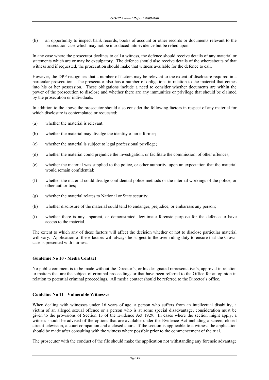(h) an opportunity to inspect bank records, books of account or other records or documents relevant to the prosecution case which may not be introduced into evidence but be relied upon.

In any case where the prosecutor declines to call a witness, the defence should receive details of any material or statements which are or may be exculpatory. The defence should also receive details of the whereabouts of that witness and if requested, the prosecution should make that witness available for the defence to call.

However, the DPP recognises that a number of factors may be relevant to the extent of disclosure required in a particular prosecution. The prosecutor also has a number of obligations in relation to the material that comes into his or her possession. These obligations include a need to consider whether documents are within the power of the prosecution to disclose and whether there are any immunities or privilege that should be claimed by the prosecution or individuals.

In addition to the above the prosecutor should also consider the following factors in respect of any material for which disclosure is contemplated or requested:

- (a) whether the material is relevant;
- (b) whether the material may divulge the identity of an informer;
- (c) whether the material is subject to legal professional privilege;
- (d) whether the material could prejudice the investigation, or facilitate the commission, of other offences;
- (e) whether the material was supplied to the police, or other authority, upon an expectation that the material would remain confidential;
- (f) whether the material could divulge confidential police methods or the internal workings of the police, or other authorities;
- (g) whether the material relates to National or State security;
- (h) whether disclosure of the material could tend to endanger, prejudice, or embarrass any person;
- (i) whether there is any apparent, or demonstrated, legitimate forensic purpose for the defence to have access to the material.

The extent to which any of these factors will affect the decision whether or not to disclose particular material will vary. Application of these factors will always be subject to the over-riding duty to ensure that the Crown case is presented with fairness.

#### **Guideline No 10 - Media Contact**

No public comment is to be made without the Director's, or his designated representative's, approval in relation to matters that are the subject of criminal proceedings or that have been referred to the Office for an opinion in relation to potential criminal proceedings. All media contact should be referred to the Director's office.

## **Guideline No 11 - Vulnerable Witnesses**

When dealing with witnesses under 16 years of age, a person who suffers from an intellectual disability, a victim of an alleged sexual offence or a person who is at some special disadvantage, consideration must be given to the provisions of Section 13 of the Evidence Act 1929. In cases where the section might apply, a witness should be advised of the options that are available under the Evidence Act including a screen, closed circuit television, a court companion and a closed court. If the section is applicable to a witness the application should be made after consulting with the witness where possible prior to the commencement of the trial.

The prosecutor with the conduct of the file should make the application not withstanding any forensic advantage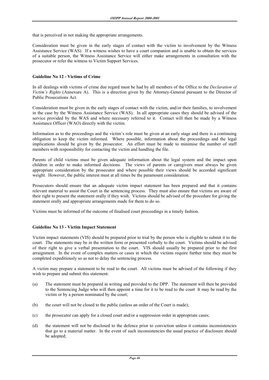that is perceived in not making the appropriate arrangements.

Consideration must be given in the early stages of contact with the victim to involvement by the Witness Assistance Service (WAS). If a witness wishes to have a court companion and is unable to obtain the services of a suitable person, the Witness Assistance Service will either make arrangements in consultation with the prosecutor or refer the witness to Victim Support Services.

#### **Guideline No 12 - Victims of Crime**

In all dealings with victims of crime due regard must be had by all members of the Office to the *Declaration of Victim's Rights* (Annexure A). This is a direction given by the Attorney-General pursuant to the Director of Public Prosecutions Act.

Consideration must be given in the early stages of contact with the victim, and/or their families, to involvement in the case by the Witness Assistance Service (WAS). In all appropriate cases they should be advised of the service provided by the WAS and where necessary referred to it. Contact will then be made by a Witness Assistance Officer (WAO) directly with the victim.

Information as to the proceedings and the victim's role must be given at an early stage and there is a continuing obligation to keep the victim informed. Where possible, information about the proceedings and the legal implications should be given by the prosecutor. An effort must be made to minimise the number of staff members with responsibility for contacting the victim and handling the file.

Parents of child victims must be given adequate information about the legal system and the impact upon children in order to make informed decisions. The views of parents or caregivers must always be given appropriate consideration by the prosecutor and where possible their views should be accorded significant weight. However, the public interest must at all times be the paramount consideration.

Prosecutors should ensure that an adequate victim impact statement has been prepared and that it contains relevant material to assist the Court in the sentencing process. They must also ensure that victims are aware of their right to present the statement orally if they wish. Victims should be advised of the procedure for giving the statement orally and appropriate arrangements made for them to do so.

Victims must be informed of the outcome of finalised court proceedings in a timely fashion.

## **Guideline No 13 - Victim Impact Statement**

Victim impact statements (VIS) should be prepared prior to trial by the person who is eligible to submit it to the court. The statements may be in the written form or presented verbally to the court. Victims should be advised of their right to give a verbal presentation to the court. VIS should usually be prepared prior to the first arraignment. In the event of complex matters or cases in which the victims require further time they must be completed expeditiously so as not to delay the sentencing process.

A victim may prepare a statement to be read to the court. All victims must be advised of the following if they wish to prepare and submit this statement:

- (a) The statement must be prepared in writing and provided to the DPP. The statement will then be provided to the Sentencing Judge who will then appoint a time for it to be read to the court It may be read by the victim or by a person nominated by the court;
- (b) the court will not be closed to the public (unless an order of the Court is made);
- (c) the prosecutor can apply for a closed court and/or a suppression order in appropriate cases;
- (d) the statement will not be disclosed to the defence prior to conviction unless it contains inconsistencies that go to a material matter. In the event of such inconsistencies the usual practice of disclosure should be adopted;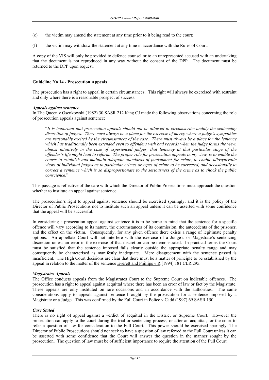- (e) the victim may amend the statement at any time prior to it being read to the court;
- (f) the victim may withdraw the statement at any time in accordance with the Rules of Court.

A copy of the VIS will only be provided to defence counsel or to an unrepresented accused with an undertaking that the document is not reproduced in any way without the consent of the DPP. The document must be returned to the DPP upon request.

#### **Guideline No 14 - Prosecution Appeals**

The prosecution has a right to appeal in certain circumstances. This right will always be exercised with restraint and only where there is a reasonable prospect of success.

#### *Appeals against sentence*

In The Queen v Osenkowski (1982) 30 SASR 212 King CJ made the following observations concerning the role of prosecution appeals against sentence:

 "*It is important that prosecution appeals should not be allowed to circumscribe unduly the sentencing discretion of judges. There must always be a place for the exercise of mercy where a judge's sympathies are reasonably excited by the circumstances of the case. There must always be a place for the leniency which has traditionally been extended even to offenders with bad records when the judge forms the view, almost intuitively in the case of experienced judges, that leniency at that particular stage of the offender's life might lead to reform. The proper role for prosecution appeals in my view, is to enable the courts to establish and maintain adequate standards of punishment for crime, to enable idiosyncratic views of individual judges as to particular crimes or types of crime to be corrected, and occasionally to correct a sentence which is so disproportionate to the seriousness of the crime as to shock the public conscience*."

This passage is reflective of the care with which the Director of Public Prosecutions must approach the question whether to institute an appeal against sentence.

The prosecution's right to appeal against sentence should be exercised sparingly, and it is the policy of the Director of Public Prosecutions not to institute such an appeal unless it can be asserted with some confidence that the appeal will be successful.

In considering a prosecution appeal against sentence it is to be borne in mind that the sentence for a specific offence will vary according to its nature, the circumstances of its commission, the antecedents of the prisoner, and the effect on the victim. Consequently, for any given offence there exists a range of legitimate penalty options. An appellate Court will not interfere with the exercise of a Judge's or Magistrate's sentencing discretion unless an error in the exercise of that discretion can be demonstrated. In practical terms the Court must be satisfied that the sentence imposed falls clearly outside the appropriate penalty range and may consequently be characterised as manifestly inadequate. Mere disagreement with the sentence passed is insufficient. The High Court decisions are clear that there must be a matter of principle to be established by the appeal in relation to the matter of the sentence Everett and Phillips  $v \cdot R$  [1994] 181 CLR 295.

#### *Magistrates Appeals*

The Office conducts appeals from the Magistrates Court to the Supreme Court on indictable offences. The prosecution has a right to appeal against acquittal where there has been an error of law or fact by the Magistrate. These appeals are only instituted on rare occasions and in accordance with the authorities. The same considerations apply to appeals against sentence brought by the prosecution for a sentence imposed by a Magistrate or a Judge. This was confirmed by the Full Court in Police v Cadd (1997) 69 SASR 150.

#### *Case Stated*

There is no right of appeal against a verdict of acquittal in the District or Supreme Court. However the prosecution can apply to the court during the trial or sentencing process, or after an acquittal, for the court to refer a question of law for consideration to the Full Court. This power should be exercised sparingly. The Director of Public Prosecutions should not seek to have a question of law referred to the Full Court unless it can be asserted with some confidence that the Court will answer the question in the manner sought by the prosecution. The question of law must be of sufficient importance to require the attention of the Full Court.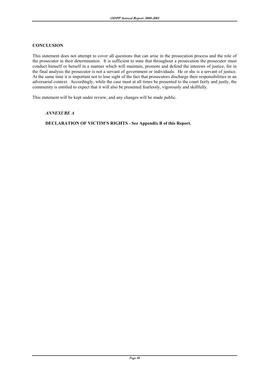#### **CONCLUSION**

This statement does not attempt to cover all questions that can arise in the prosecution process and the role of the prosecutor in their determination. It is sufficient to state that throughout a prosecution the prosecutor must conduct himself or herself in a manner which will maintain, promote and defend the interests of justice, for in the final analysis the prosecutor is not a servant of government or individuals. He or she is a servant of justice. At the same time it is important not to lose sight of the fact that prosecutors discharge their responsibilities in an adversarial context. Accordingly, while the case must at all times be presented to the court fairly and justly, the community is entitled to expect that it will also be presented fearlessly, vigorously and skillfully.

This statement will be kept under review, and any changes will be made public.

#### *ANNEXURE A*

## **DECLARATION OF VICTIM'S RIGHTS - See Appendix B of this Report.**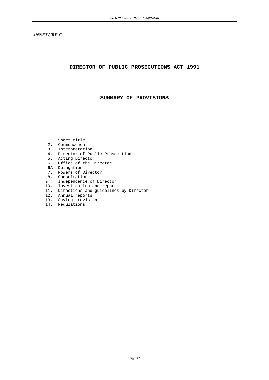*ANNEXURE C* 

#### **DIRECTOR OF PUBLIC PROSECUTIONS ACT 1991**

#### **SUMMARY OF PROVISIONS**

- 1. Short title
- 2. Commencement
- 3. Interpretation
- 4. Director of Public Prosecutions
- 5. Acting Director
- 6. Office of the Director
- 6A. Delegation
- 7. Powers of Director
- 8. Consultation
- 9. Independence of Director
- 10. Investigation and report
- 11. Directions and guidelines by Director
- 12. Annual reports
- 13. Saving provision
- 14. Regulations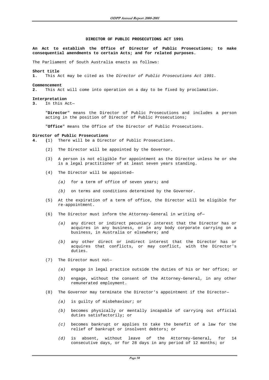#### **DIRECTOR OF PUBLIC PROSECUTIONS ACT 1991**

**An Act to establish the Office of Director of Public Prosecutions; to make consequential amendments to certain Acts; and for related purposes.**

The Parliament of South Australia enacts as follows:

#### **Short title**

**1.** This Act may be cited as the Director of Public Prosecutions Act 1991.

#### **Commencement**

**2.** This Act will come into operation on a day to be fixed by proclamation.

#### **Interpretation**

**3.** In this Act—

"**Director**" means the Director of Public Prosecutions and includes a person acting in the position of Director of Public Prosecutions;

"**Office**" means the Office of the Director of Public Prosecutions.

#### **Director of Public Prosecutions**

**4. (**1) There will be a Director of Public Prosecutions.

- (2) The Director will be appointed by the Governor.
- (3) A person is not eligible for appointment as the Director unless he or she is a legal practitioner of at least seven years standing.
- (4) The Director will be appointed—
	- (a) for a term of office of seven years; and
	- (b) on terms and conditions determined by the Governor.
- (5) At the expiration of a term of office, the Director will be eligible for re-appointment.
- (6) The Director must inform the Attorney-General in writing of—
	- (a) any direct or indirect pecuniary interest that the Director has or acquires in any business, or in any body corporate carrying on a business, in Australia or elsewhere; and
	- (b) any other direct or indirect interest that the Director has or acquires that conflicts, or may conflict, with the Director's duties.
- (7) The Director must not—
	- (a) engage in legal practice outside the duties of his or her office; or
	- (b) engage, without the consent of the Attorney-General, in any other remunerated employment.
- (8) The Governor may terminate the Director's appointment if the Director—
	- (a) is guilty of misbehaviour; or
	- (b) becomes physically or mentally incapable of carrying out official duties satisfactorily; or
	- (c) becomes bankrupt or applies to take the benefit of a law for the relief of bankrupt or insolvent debtors; or
	- (d) is absent, without leave of the Attorney-General, for 14 consecutive days, or for 28 days in any period of 12 months; or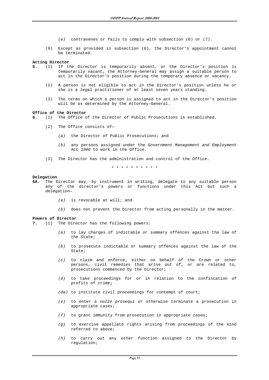- (e) contravenes or fails to comply with subsection (6) or (7).
- (9) Except as provided in subsection (8), the Director's appointment cannot be terminated.

#### **Acting Director**

- **5.** (1) If the Director is temporarily absent, or the Director's position is temporarily vacant, the Attorney-General may assign a suitable person to act in the Director's position during the temporary absence or vacancy.
	- (2) A person is not eligible to act in the Director's position unless he or she is a legal practitioner of at least seven years standing.
	- (3) The terms on which a person is assigned to act in the Director's position will be as determined by the Attorney-General.

#### **Office of the Director**

- **6.** (1) The Office of the Director of Public Prosecutions is established.
	- (2) The Office consists of—
		- (a) the Director of Public Prosecutions; and
		- (b) any persons assigned under the Government Management and Employment Act 1986 to work in the Office.
	- (3) The Director has the administration and control of the Office.

\*\*\*\*\*\*\*\*\*\*

#### **Delegation**

- **6A.** The Director may, by instrument in writing, delegate to any suitable person any of the director's powers or functions under this Act but such a delegation—
	- (a) is revocable at will; and
	- (b) does not prevent the Director from acting personally in the matter.

#### **Powers of Director**

- **7.** (1) The Director has the following powers:
	- (a) to lay charges of indictable or summary offences against the law of the State;
	- (b) to prosecute indictable or summary offences against the law of the State;
	- (c) to claim and enforce, either on behalf of the Crown or other persons, civil remedies that arise out of, or are related to, prosecutions commenced by the Director;
	- (d) to take proceedings for or in relation to the confiscation of profits of crime;
	- (da) to institute civil proceedings for contempt of court;
	- (e) to enter a nolle prosequi or otherwise terminate a prosecution in appropriate cases;
	- $(f)$  to grant immunity from prosecution in appropriate cases;
	- (g) to exercise appellate rights arising from proceedings of the kind referred to above;
	- (h) to carry out any other function assigned to the Director by regulation;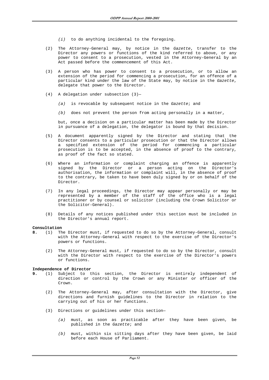- $(i)$  to do anything incidental to the foregoing.
- (2) The Attorney-General may, by notice in the Gazette, transfer to the Director any powers or functions of the kind referred to above, or any power to consent to a prosecution, vested in the Attorney-General by an Act passed before the commencement of this Act.
- (3) A person who has power to consent to a prosecution, or to allow an extension of the period for commencing a prosecution, for an offence of a particular kind under the law of the State may, by notice in the Gazette, delegate that power to the Director.
- (4) A delegation under subsection (3)—
	- (a) is revocable by subsequent notice in the Gazette; and
	- $(b)$  does not prevent the person from acting personally in a matter,

but, once a decision on a particular matter has been made by the Director in pursuance of a delegation, the delegator is bound by that decision.

- (5) A document apparently signed by the Director and stating that the Director consents to a particular prosecution or that the Director allows a specified extension of the period for commencing a particular prosecution is to be accepted, in the absence of proof to the contrary, as proof of the fact so stated.
- (6) Where an information or complaint charging an offence is apparently signed by the Director or a person acting on the Director's authorisation, the information or complaint will, in the absence of proof to the contrary, be taken to have been duly signed by or on behalf of the Director.
- (7) In any legal proceedings, the Director may appear personally or may be represented by a member of the staff of the office who is a legal practitioner or by counsel or solicitor (including the Crown Solicitor or the Solicitor-General).
- (8) Details of any notices published under this section must be included in the Director's annual report.

#### **Consultation**

- **8.** (1) The Director must, if requested to do so by the Attorney-General, consult with the Attorney-General with respect to the exercise of the Director's powers or functions.
	- (2) The Attorney-General must, if requested to do so by the Director, consult with the Director with respect to the exercise of the Director's powers or functions.

#### **Independence of Director**

- **9.** (1) Subject to this section, the Director is entirely independent of direction or control by the Crown or any Minister or officer of the Crown.
	- (2) The Attorney-General may, after consultation with the Director, give directions and furnish guidelines to the Director in relation to the carrying out of his or her functions.
	- (3) Directions or guidelines under this section—
		- (a) must, as soon as practicable after they have been given, be published in the Gazette; and
		- (b) must, within six sitting days after they have been given, be laid before each House of Parliament.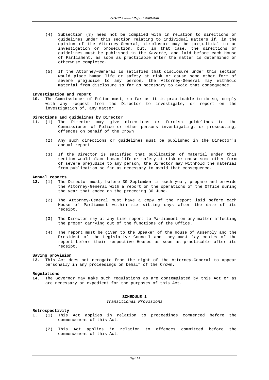- (4) Subsection (3) need not be complied with in relation to directions or guidelines under this section relating to individual matters if, in the opinion of the Attorney-General, disclosure may be prejudicial to an investigation or prosecution, but, in that case, the directions or guidelines must be published in the Gazette, and laid before each House of Parliament, as soon as practicable after the matter is determined or otherwise completed.
- (5) If the Attorney-General is satisfied that disclosure under this section would place human life or safety at risk or cause some other form of severe prejudice to any person, the Attorney-General may withhold material from disclosure so far as necessary to avoid that consequence.

#### **Investigation and report**

**10.** The Commissioner of Police must, so far as it is practicable to do so, comply with any request from the Director to investigate, or report on the investigation of, any matter.

#### **Directions and guidelines by Director**

- **11.** (1) The Director may give directions or furnish guidelines to the Commissioner of Police or other persons investigating, or prosecuting, offences on behalf of the Crown.
	- (2) Any such directions or guidelines must be published in the Director's annual report.
	- (3) If the Director is satisfied that publication of material under this section would place human life or safety at risk or cause some other form of severe prejudice to any person, the Director may withhold the material from publication so far as necessary to avoid that consequence.

#### **Annual reports**

- **12.** (1) The Director must, before 30 September in each year, prepare and provide the Attorney-General with a report on the operations of the Office during the year that ended on the preceding 30 June.
	- (2) The Attorney-General must have a copy of the report laid before each House of Parliament within six sitting days after the date of its receipt.
	- (3) The Director may at any time report to Parliament on any matter affecting the proper carrying out of the functions of the Office.
	- (4) The report must be given to the Speaker of the House of Assembly and the President of the Legislative Council and they must lay copies of the report before their respective Houses as soon as practicable after its receipt.

#### **Saving provision**

**13.** This Act does not derogate from the right of the Attorney-General to appear personally in any proceedings on behalf of the Crown.

#### **Regulations**

**14.** The Governor may make such regulations as are contemplated by this Act or as are necessary or expedient for the purposes of this Act.

#### **SCHEDULE 1**

Transitional Provisions

#### **Retrospectivity**

- 1. (1) This Act applies in relation to proceedings commenced before the commencement of this Act.
	- (2) This Act applies in relation to offences committed before the commencement of this Act.